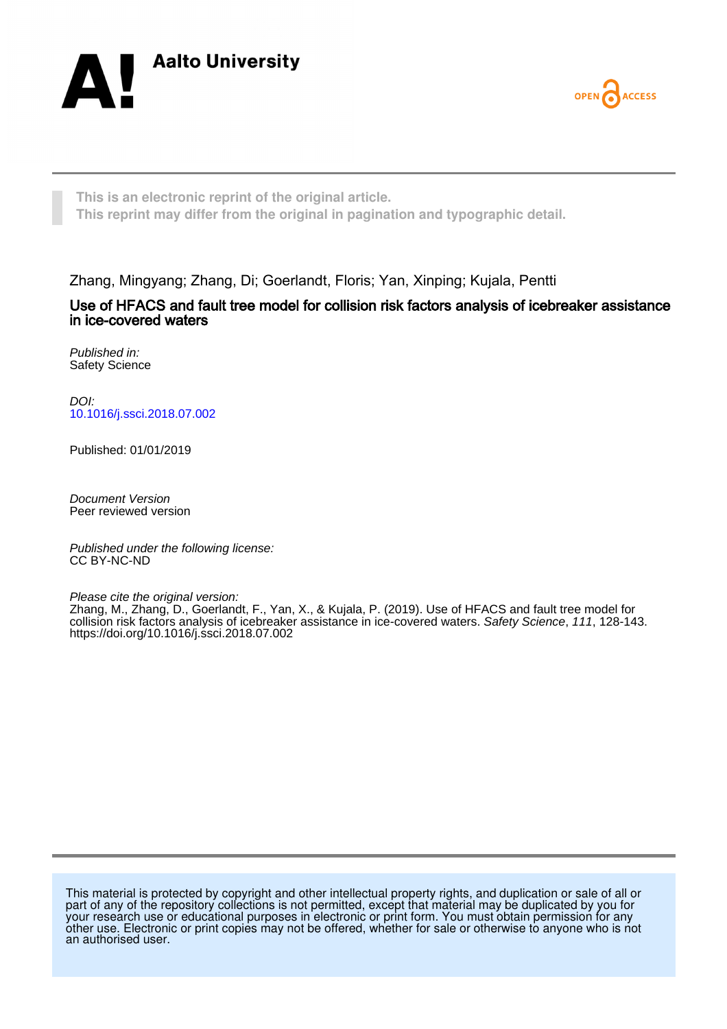



**This is an electronic reprint of the original article. This reprint may differ from the original in pagination and typographic detail.**

Zhang, Mingyang; Zhang, Di; Goerlandt, Floris; Yan, Xinping; Kujala, Pentti

# Use of HFACS and fault tree model for collision risk factors analysis of icebreaker assistance in ice-covered waters

Published in: Safety Science

DOI: [10.1016/j.ssci.2018.07.002](https://doi.org/10.1016/j.ssci.2018.07.002)

Published: 01/01/2019

Document Version Peer reviewed version

Published under the following license: CC BY-NC-ND

Please cite the original version:

Zhang, M., Zhang, D., Goerlandt, F., Yan, X., & Kujala, P. (2019). Use of HFACS and fault tree model for collision risk factors analysis of icebreaker assistance in ice-covered waters. Safety Science, 111, 128-143. <https://doi.org/10.1016/j.ssci.2018.07.002>

This material is protected by copyright and other intellectual property rights, and duplication or sale of all or part of any of the repository collections is not permitted, except that material may be duplicated by you for your research use or educational purposes in electronic or print form. You must obtain permission for any other use. Electronic or print copies may not be offered, whether for sale or otherwise to anyone who is not an authorised user.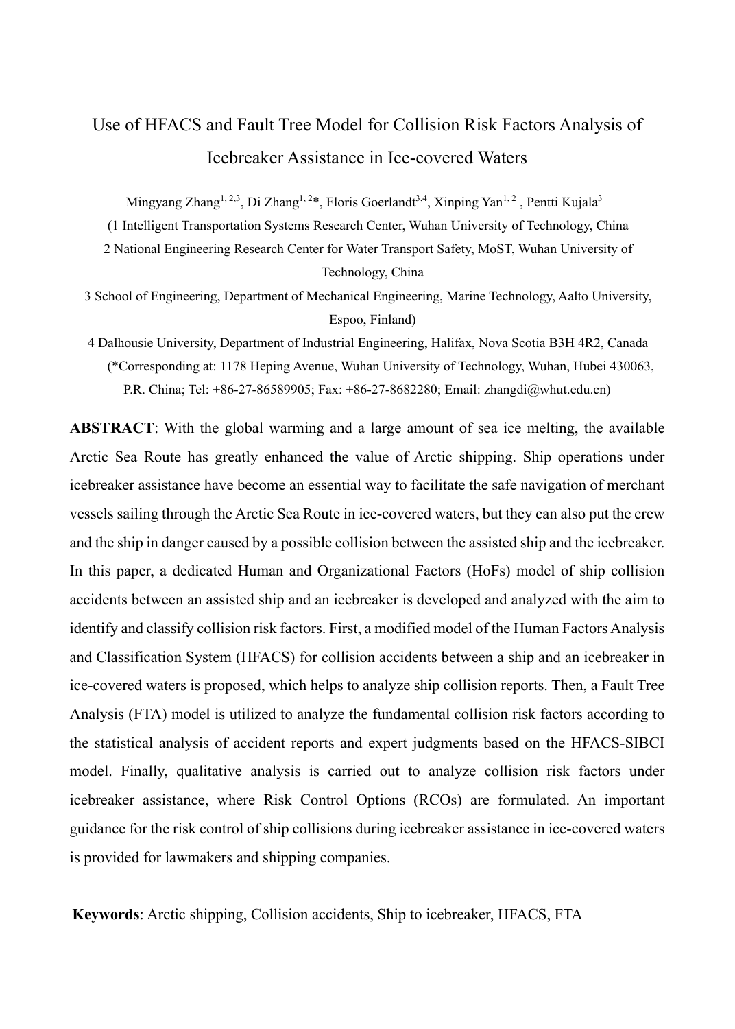# Use of HFACS and Fault Tree Model for Collision Risk Factors Analysis of Icebreaker Assistance in Ice-covered Waters

Mingyang Zhang<sup>1, 2,3</sup>, Di Zhang<sup>1, 2\*</sup>, Floris Goerlandt<sup>3,4</sup>, Xinping Yan<sup>1, 2</sup>, Pentti Kujala<sup>3</sup>

(1 Intelligent Transportation Systems Research Center, Wuhan University of Technology, China 2 National Engineering Research Center for Water Transport Safety, MoST, Wuhan University of Technology, China

3 School of Engineering, Department of Mechanical Engineering, Marine Technology, Aalto University, Espoo, Finland)

4 Dalhousie University, Department of Industrial Engineering, Halifax, Nova Scotia B3H 4R2, Canada (\*Corresponding at: 1178 Heping Avenue, Wuhan University of Technology, Wuhan, Hubei 430063, P.R. China; Tel: +86-27-86589905; Fax: +86-27-8682280; Email: zhangdi@whut.edu.cn)

**ABSTRACT**: With the global warming and a large amount of sea ice melting, the available Arctic Sea Route has greatly enhanced the value of Arctic shipping. Ship operations under icebreaker assistance have become an essential way to facilitate the safe navigation of merchant vessels sailing through the Arctic Sea Route in ice-covered waters, but they can also put the crew and the ship in danger caused by a possible collision between the assisted ship and the icebreaker. In this paper, a dedicated Human and Organizational Factors (HoFs) model of ship collision accidents between an assisted ship and an icebreaker is developed and analyzed with the aim to identify and classify collision risk factors. First, a modified model of the Human Factors Analysis and Classification System (HFACS) for collision accidents between a ship and an icebreaker in ice-covered waters is proposed, which helps to analyze ship collision reports. Then, a Fault Tree Analysis (FTA) model is utilized to analyze the fundamental collision risk factors according to the statistical analysis of accident reports and expert judgments based on the HFACS-SIBCI model. Finally, qualitative analysis is carried out to analyze collision risk factors under icebreaker assistance, where Risk Control Options (RCOs) are formulated. An important guidance for the risk control of ship collisions during icebreaker assistance in ice-covered waters is provided for lawmakers and shipping companies.

**Keywords**: Arctic shipping, Collision accidents, Ship to icebreaker, HFACS, FTA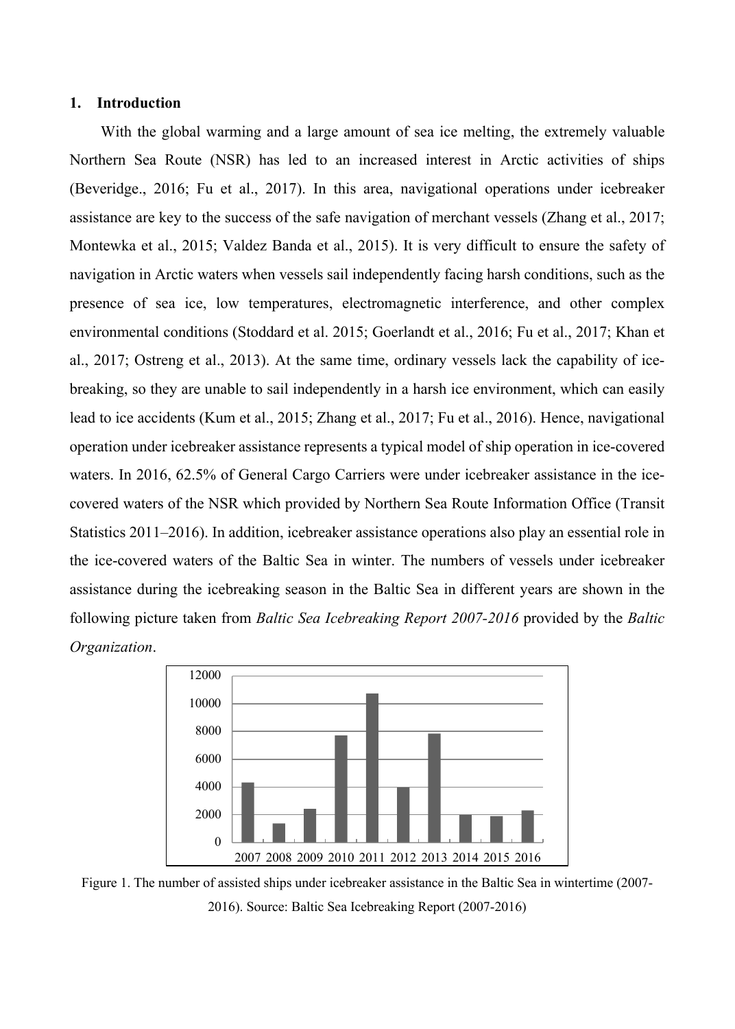## **1. Introduction**

With the global warming and a large amount of sea ice melting, the extremely valuable Northern Sea Route (NSR) has led to an increased interest in Arctic activities of ships (Beveridge., 2016; Fu et al., 2017). In this area, navigational operations under icebreaker assistance are key to the success of the safe navigation of merchant vessels (Zhang et al., 2017; Montewka et al., 2015; Valdez Banda et al., 2015). It is very difficult to ensure the safety of navigation in Arctic waters when vessels sail independently facing harsh conditions, such as the presence of sea ice, low temperatures, electromagnetic interference, and other complex environmental conditions (Stoddard et al. 2015; Goerlandt et al., 2016; Fu et al., 2017; Khan et al., 2017; Ostreng et al., 2013). At the same time, ordinary vessels lack the capability of icebreaking, so they are unable to sail independently in a harsh ice environment, which can easily lead to ice accidents (Kum et al., 2015; Zhang et al., 2017; Fu et al., 2016). Hence, navigational operation under icebreaker assistance represents a typical model of ship operation in ice-covered waters. In 2016, 62.5% of General Cargo Carriers were under icebreaker assistance in the icecovered waters of the NSR which provided by Northern Sea Route Information Office (Transit Statistics 2011–2016). In addition, icebreaker assistance operations also play an essential role in the ice-covered waters of the Baltic Sea in winter. The numbers of vessels under icebreaker assistance during the icebreaking season in the Baltic Sea in different years are shown in the following picture taken from *Baltic Sea Icebreaking Report 2007-2016* provided by the *Baltic Organization*.



Figure 1. The number of assisted ships under icebreaker assistance in the Baltic Sea in wintertime (2007- 2016). Source: Baltic Sea Icebreaking Report (2007-2016)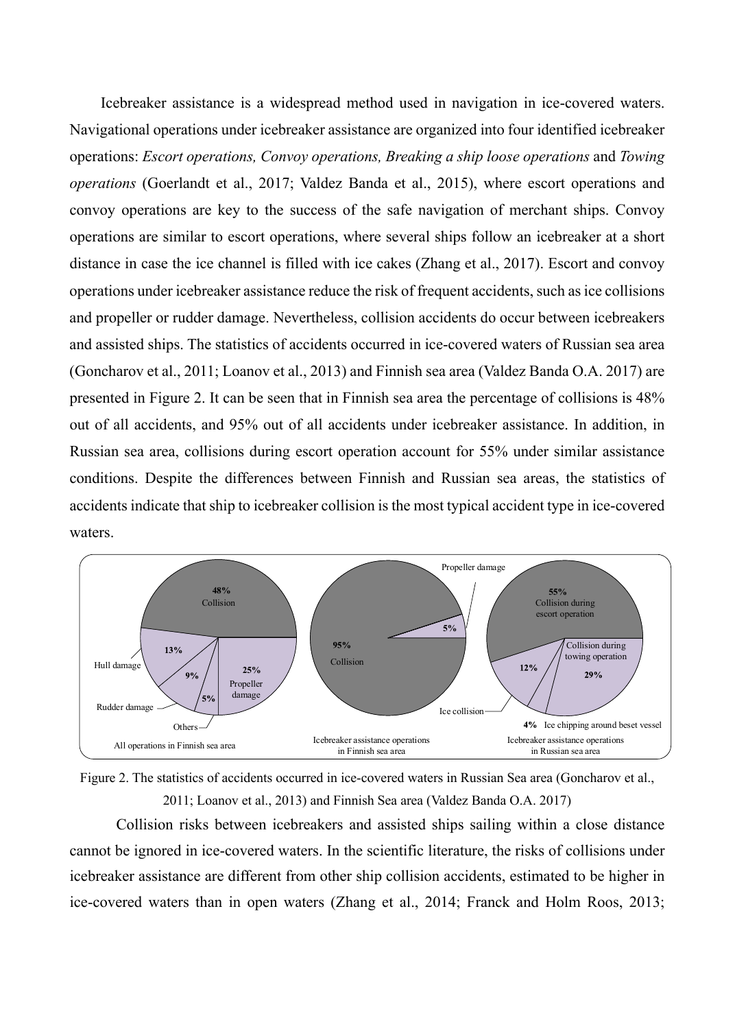Icebreaker assistance is a widespread method used in navigation in ice-covered waters. Navigational operations under icebreaker assistance are organized into four identified icebreaker operations: *Escort operations, Convoy operations, Breaking a ship loose operations* and *Towing operations* (Goerlandt et al., 2017; Valdez Banda et al., 2015), where escort operations and convoy operations are key to the success of the safe navigation of merchant ships. Convoy operations are similar to escort operations, where several ships follow an icebreaker at a short distance in case the ice channel is filled with ice cakes (Zhang et al., 2017). Escort and convoy operations under icebreaker assistance reduce the risk of frequent accidents, such as ice collisions and propeller or rudder damage. Nevertheless, collision accidents do occur between icebreakers and assisted ships. The statistics of accidents occurred in ice-covered waters of Russian sea area (Goncharov et al., 2011; Loanov et al., 2013) and Finnish sea area (Valdez Banda O.A. 2017) are presented in Figure 2. It can be seen that in Finnish sea area the percentage of collisions is 48% out of all accidents, and 95% out of all accidents under icebreaker assistance. In addition, in Russian sea area, collisions during escort operation account for 55% under similar assistance conditions. Despite the differences between Finnish and Russian sea areas, the statistics of accidents indicate that ship to icebreaker collision is the most typical accident type in ice-covered waters.





Collision risks between icebreakers and assisted ships sailing within a close distance cannot be ignored in ice-covered waters. In the scientific literature, the risks of collisions under icebreaker assistance are different from other ship collision accidents, estimated to be higher in ice-covered waters than in open waters (Zhang et al., 2014; Franck and Holm Roos, 2013;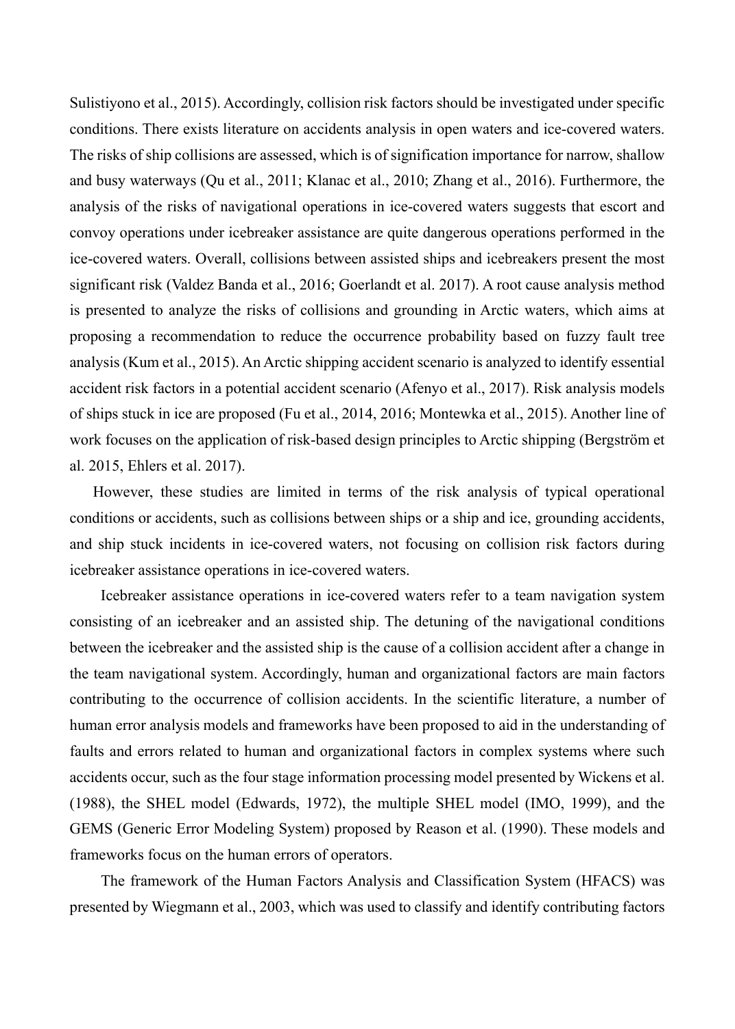Sulistiyono et al., 2015). Accordingly, collision risk factors should be investigated under specific conditions. There exists literature on accidents analysis in open waters and ice-covered waters. The risks of ship collisions are assessed, which is of signification importance for narrow, shallow and busy waterways (Qu et al., 2011; Klanac et al., 2010; Zhang et al., 2016). Furthermore, the analysis of the risks of navigational operations in ice-covered waters suggests that escort and convoy operations under icebreaker assistance are quite dangerous operations performed in the ice-covered waters. Overall, collisions between assisted ships and icebreakers present the most significant risk (Valdez Banda et al., 2016; Goerlandt et al. 2017). A root cause analysis method is presented to analyze the risks of collisions and grounding in Arctic waters, which aims at proposing a recommendation to reduce the occurrence probability based on fuzzy fault tree analysis (Kum et al., 2015). An Arctic shipping accident scenario is analyzed to identify essential accident risk factors in a potential accident scenario (Afenyo et al., 2017). Risk analysis models of ships stuck in ice are proposed (Fu et al., 2014, 2016; Montewka et al., 2015). Another line of work focuses on the application of risk-based design principles to Arctic shipping (Bergström et al. 2015, Ehlers et al. 2017).

However, these studies are limited in terms of the risk analysis of typical operational conditions or accidents, such as collisions between ships or a ship and ice, grounding accidents, and ship stuck incidents in ice-covered waters, not focusing on collision risk factors during icebreaker assistance operations in ice-covered waters.

Icebreaker assistance operations in ice-covered waters refer to a team navigation system consisting of an icebreaker and an assisted ship. The detuning of the navigational conditions between the icebreaker and the assisted ship is the cause of a collision accident after a change in the team navigational system. Accordingly, human and organizational factors are main factors contributing to the occurrence of collision accidents. In the scientific literature, a number of human error analysis models and frameworks have been proposed to aid in the understanding of faults and errors related to human and organizational factors in complex systems where such accidents occur, such as the four stage information processing model presented by Wickens et al. (1988), the SHEL model (Edwards, 1972), the multiple SHEL model (IMO, 1999), and the GEMS (Generic Error Modeling System) proposed by Reason et al. (1990). These models and frameworks focus on the human errors of operators.

The framework of the Human Factors Analysis and Classification System (HFACS) was presented by Wiegmann et al., 2003, which was used to classify and identify contributing factors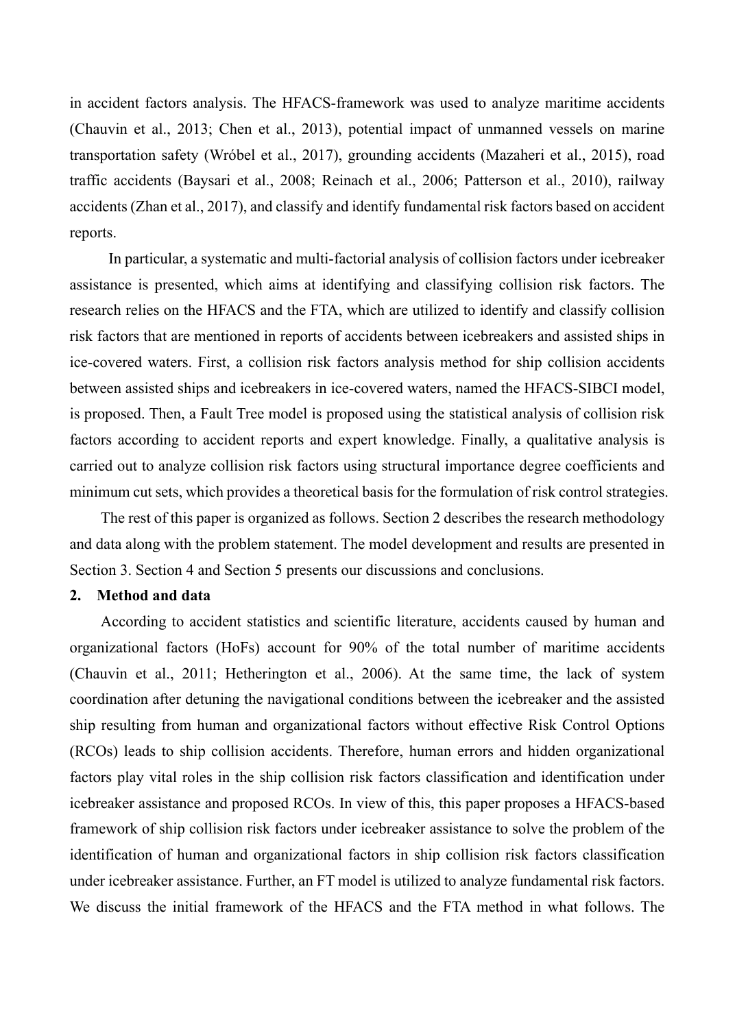in accident factors analysis. The HFACS-framework was used to analyze maritime accidents (Chauvin et al., 2013; Chen et al., 2013), potential impact of unmanned vessels on marine transportation safety (Wróbel et al., 2017), grounding accidents (Mazaheri et al., 2015), road traffic accidents (Baysari et al., 2008; Reinach et al., 2006; Patterson et al., 2010), railway accidents (Zhan et al., 2017), and classify and identify fundamental risk factors based on accident reports.

In particular, a systematic and multi-factorial analysis of collision factors under icebreaker assistance is presented, which aims at identifying and classifying collision risk factors. The research relies on the HFACS and the FTA, which are utilized to identify and classify collision risk factors that are mentioned in reports of accidents between icebreakers and assisted ships in ice-covered waters. First, a collision risk factors analysis method for ship collision accidents between assisted ships and icebreakers in ice-covered waters, named the HFACS-SIBCI model, is proposed. Then, a Fault Tree model is proposed using the statistical analysis of collision risk factors according to accident reports and expert knowledge. Finally, a qualitative analysis is carried out to analyze collision risk factors using structural importance degree coefficients and minimum cut sets, which provides a theoretical basis for the formulation of risk control strategies.

The rest of this paper is organized as follows. Section 2 describes the research methodology and data along with the problem statement. The model development and results are presented in Section 3. Section 4 and Section 5 presents our discussions and conclusions.

#### **2. Method and data**

According to accident statistics and scientific literature, accidents caused by human and organizational factors (HoFs) account for 90% of the total number of maritime accidents (Chauvin et al., 2011; Hetherington et al., 2006). At the same time, the lack of system coordination after detuning the navigational conditions between the icebreaker and the assisted ship resulting from human and organizational factors without effective Risk Control Options (RCOs) leads to ship collision accidents. Therefore, human errors and hidden organizational factors play vital roles in the ship collision risk factors classification and identification under icebreaker assistance and proposed RCOs. In view of this, this paper proposes a HFACS-based framework of ship collision risk factors under icebreaker assistance to solve the problem of the identification of human and organizational factors in ship collision risk factors classification under icebreaker assistance. Further, an FT model is utilized to analyze fundamental risk factors. We discuss the initial framework of the HFACS and the FTA method in what follows. The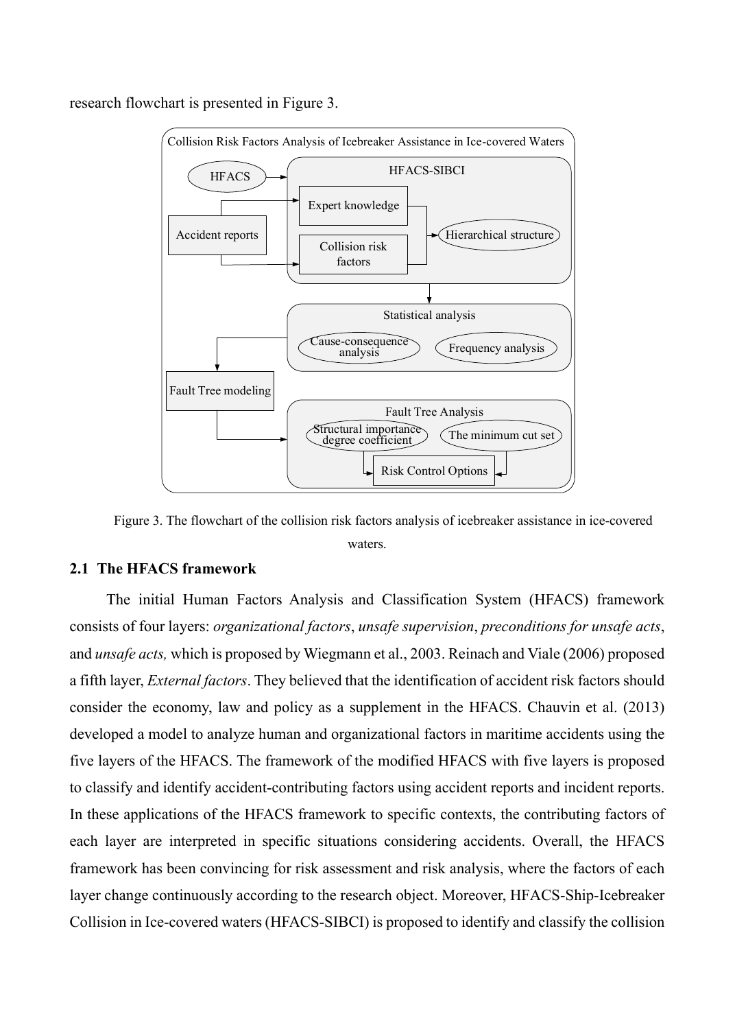

research flowchart is presented in Figure 3.

Figure 3. The flowchart of the collision risk factors analysis of icebreaker assistance in ice-covered waters.

# **2.1 The HFACS framework**

The initial Human Factors Analysis and Classification System (HFACS) framework consists of four layers: *organizational factors*, *unsafe supervision*, *preconditions for unsafe acts*, and *unsafe acts,* which is proposed by Wiegmann et al., 2003. Reinach and Viale (2006) proposed a fifth layer, *External factors*. They believed that the identification of accident risk factors should consider the economy, law and policy as a supplement in the HFACS. Chauvin et al. (2013) developed a model to analyze human and organizational factors in maritime accidents using the five layers of the HFACS. The framework of the modified HFACS with five layers is proposed to classify and identify accident-contributing factors using accident reports and incident reports. In these applications of the HFACS framework to specific contexts, the contributing factors of each layer are interpreted in specific situations considering accidents. Overall, the HFACS framework has been convincing for risk assessment and risk analysis, where the factors of each layer change continuously according to the research object. Moreover, HFACS-Ship-Icebreaker Collision in Ice-covered waters (HFACS-SIBCI) is proposed to identify and classify the collision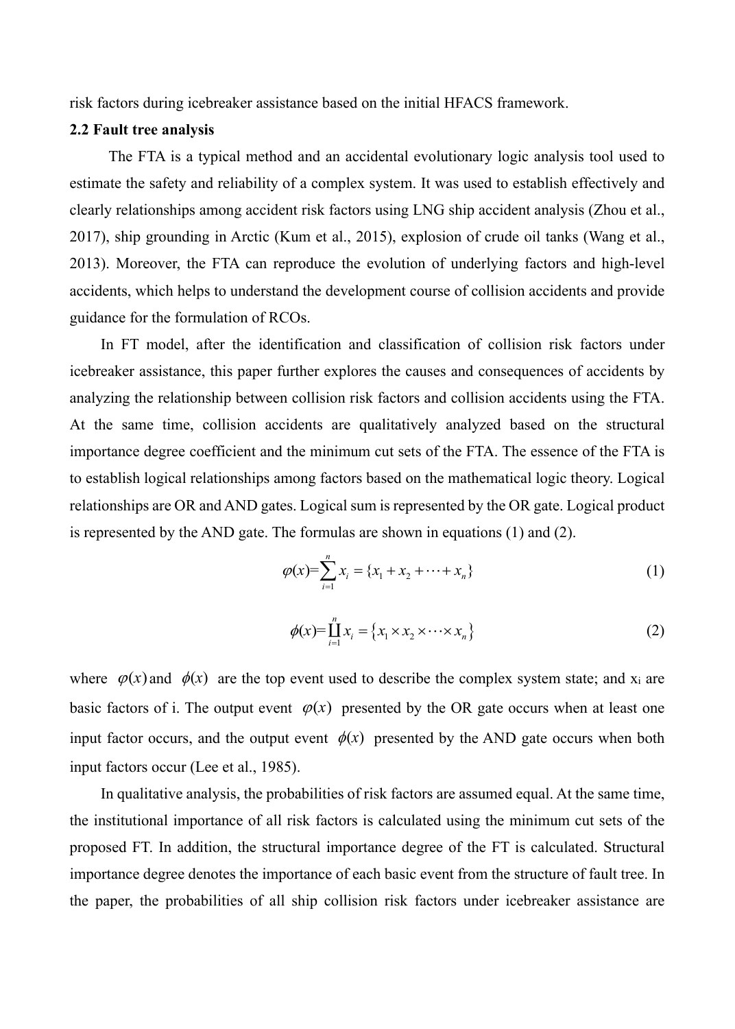risk factors during icebreaker assistance based on the initial HFACS framework.

# **2.2 Fault tree analysis**

The FTA is a typical method and an accidental evolutionary logic analysis tool used to estimate the safety and reliability of a complex system. It was used to establish effectively and clearly relationships among accident risk factors using LNG ship accident analysis (Zhou et al., 2017), ship grounding in Arctic (Kum et al., 2015), explosion of crude oil tanks (Wang et al., 2013). Moreover, the FTA can reproduce the evolution of underlying factors and high-level accidents, which helps to understand the development course of collision accidents and provide guidance for the formulation of RCOs.

In FT model, after the identification and classification of collision risk factors under icebreaker assistance, this paper further explores the causes and consequences of accidents by analyzing the relationship between collision risk factors and collision accidents using the FTA. At the same time, collision accidents are qualitatively analyzed based on the structural importance degree coefficient and the minimum cut sets of the FTA. The essence of the FTA is to establish logical relationships among factors based on the mathematical logic theory. Logical relationships are OR and AND gates. Logical sum is represented by the OR gate. Logical product is represented by the AND gate. The formulas are shown in equations (1) and (2).

$$
\varphi(x) = \sum_{i=1}^{n} x_i = \{x_1 + x_2 + \dots + x_n\}
$$
\n(1)

$$
\phi(x) = \prod_{i=1}^{n} x_i = \{x_1 \times x_2 \times \dots \times x_n\}
$$
 (2)

where  $\varphi(x)$  and  $\varphi(x)$  are the top event used to describe the complex system state; and x<sub>i</sub> are basic factors of i. The output event  $\varphi(x)$  presented by the OR gate occurs when at least one input factor occurs, and the output event  $\phi(x)$  presented by the AND gate occurs when both input factors occur (Lee et al., 1985).

In qualitative analysis, the probabilities of risk factors are assumed equal. At the same time, the institutional importance of all risk factors is calculated using the minimum cut sets of the proposed FT. In addition, the structural importance degree of the FT is calculated. Structural importance degree denotes the importance of each basic event from the structure of fault tree. In the paper, the probabilities of all ship collision risk factors under icebreaker assistance are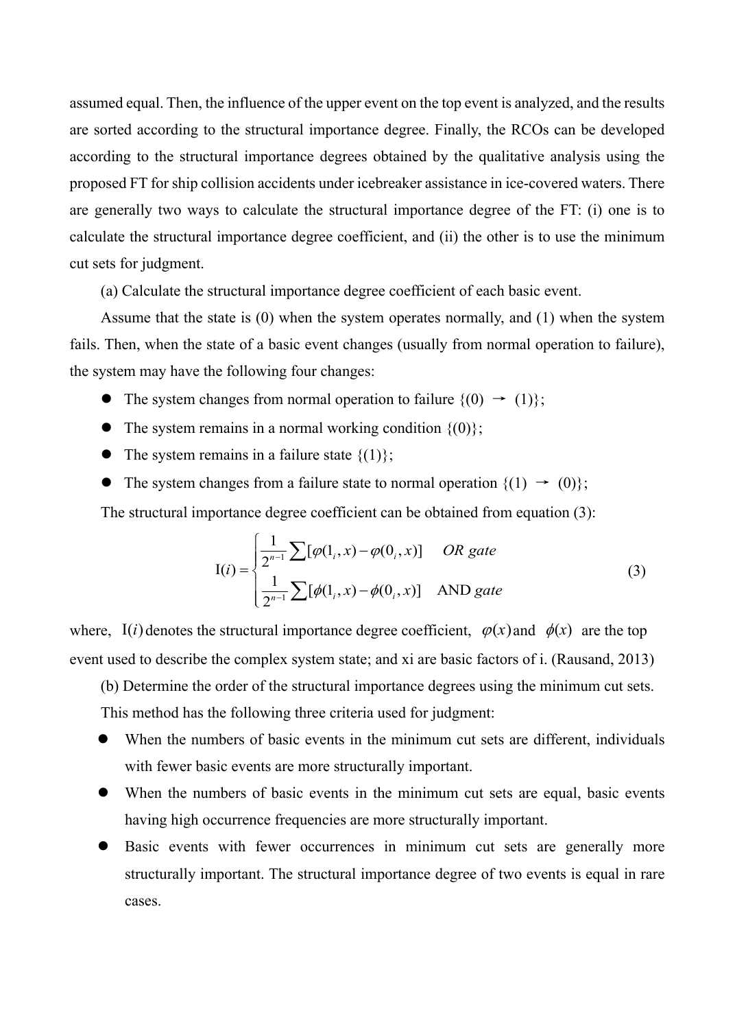assumed equal. Then, the influence of the upper event on the top event is analyzed, and the results are sorted according to the structural importance degree. Finally, the RCOs can be developed according to the structural importance degrees obtained by the qualitative analysis using the proposed FT for ship collision accidents under icebreaker assistance in ice-covered waters. There are generally two ways to calculate the structural importance degree of the FT: (i) one is to calculate the structural importance degree coefficient, and (ii) the other is to use the minimum cut sets for judgment.

(a) Calculate the structural importance degree coefficient of each basic event.

Assume that the state is (0) when the system operates normally, and (1) when the system fails. Then, when the state of a basic event changes (usually from normal operation to failure), the system may have the following four changes:

- The system changes from normal operation to failure  $\{(0) \rightarrow (1)\};$
- $\bullet$  The system remains in a normal working condition  $\{(0)\}$ ;
- The system remains in a failure state  $\{(1)\};$
- The system changes from a failure state to normal operation  $\{(1) \rightarrow (0)\}$ ;

The structural importance degree coefficient can be obtained from equation (3):

$$
I(i) = \begin{cases} \frac{1}{2^{n-1}} \sum [\varphi(1_i, x) - \varphi(0_i, x)] & OR gate \\ \frac{1}{2^{n-1}} \sum [\varphi(1_i, x) - \varphi(0_i, x)] & AND gate \end{cases}
$$
(3)

where, I(*i*) denotes the structural importance degree coefficient,  $\varphi(x)$  and  $\varphi(x)$  are the top event used to describe the complex system state; and xi are basic factors of i. (Rausand, 2013)

(b) Determine the order of the structural importance degrees using the minimum cut sets.

This method has the following three criteria used for judgment:

- When the numbers of basic events in the minimum cut sets are different, individuals with fewer basic events are more structurally important.
- When the numbers of basic events in the minimum cut sets are equal, basic events having high occurrence frequencies are more structurally important.
- Basic events with fewer occurrences in minimum cut sets are generally more structurally important. The structural importance degree of two events is equal in rare cases.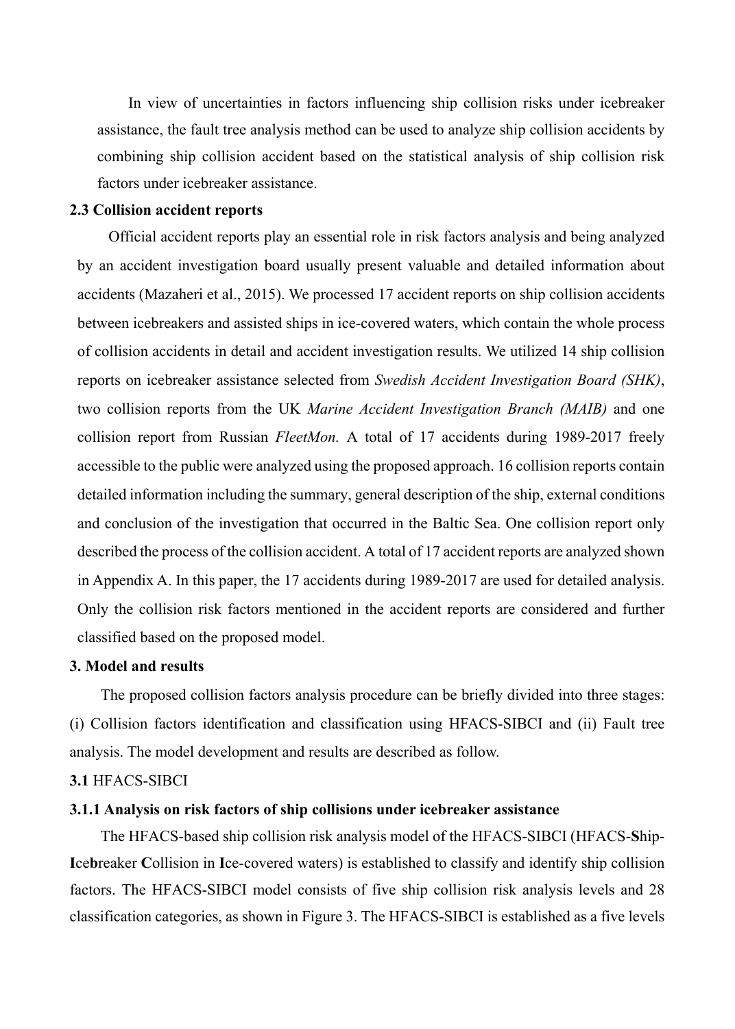In view of uncertainties in factors influencing ship collision risks under icebreaker assistance, the fault tree analysis method can be used to analyze ship collision accidents by combining ship collision accident based on the statistical analysis of ship collision risk factors under icebreaker assistance.

# **2.3 Collision accident reports**

Official accident reports play an essential role in risk factors analysis and being analyzed by an accident investigation board usually present valuable and detailed information about accidents (Mazaheri et al., 2015). We processed 17 accident reports on ship collision accidents between icebreakers and assisted ships in ice-covered waters, which contain the whole process of collision accidents in detail and accident investigation results. We utilized 14 ship collision reports on icebreaker assistance selected from *Swedish Accident Investigation Board (SHK)*, two collision reports from the UK *Marine Accident Investigation Branch (MAIB)* and one collision report from Russian *FleetMon.* A total of 17 accidents during 1989-2017 freely accessible to the public were analyzed using the proposed approach. 16 collision reports contain detailed information including the summary, general description of the ship, external conditions and conclusion of the investigation that occurred in the Baltic Sea. One collision report only described the process of the collision accident. A total of 17 accident reports are analyzed shown in Appendix A. In this paper, the 17 accidents during 1989-2017 are used for detailed analysis. Only the collision risk factors mentioned in the accident reports are considered and further classified based on the proposed model.

# **3. Model and results**

The proposed collision factors analysis procedure can be briefly divided into three stages: (i) Collision factors identification and classification using HFACS-SIBCI and (ii) Fault tree analysis. The model development and results are described as follow.

# **3.1** HFACS-SIBCI

# **3.1.1 Analysis on risk factors of ship collisions under icebreaker assistance**

The HFACS-based ship collision risk analysis model of the HFACS-SIBCI (HFACS-**S**hip-**I**ce**b**reaker **C**ollision in **I**ce-covered waters) is established to classify and identify ship collision factors. The HFACS-SIBCI model consists of five ship collision risk analysis levels and 28 classification categories, as shown in Figure 3. The HFACS-SIBCI is established as a five levels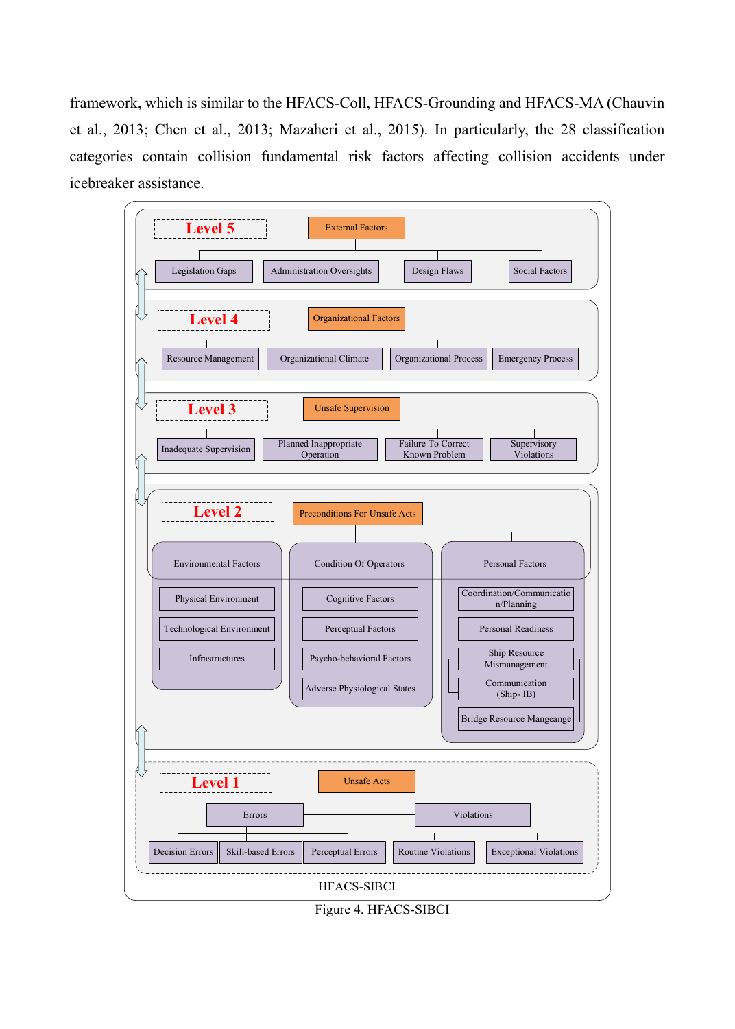framework, which is similar to the HFACS-Coll, HFACS-Grounding and HFACS-MA (Chauvin et al., 2013; Chen et al., 2013; Mazaheri et al., 2015). In particularly, the 28 classification categories contain collision fundamental risk factors affecting collision accidents under icebreaker assistance.



Figure 4. HFACS-SIBCI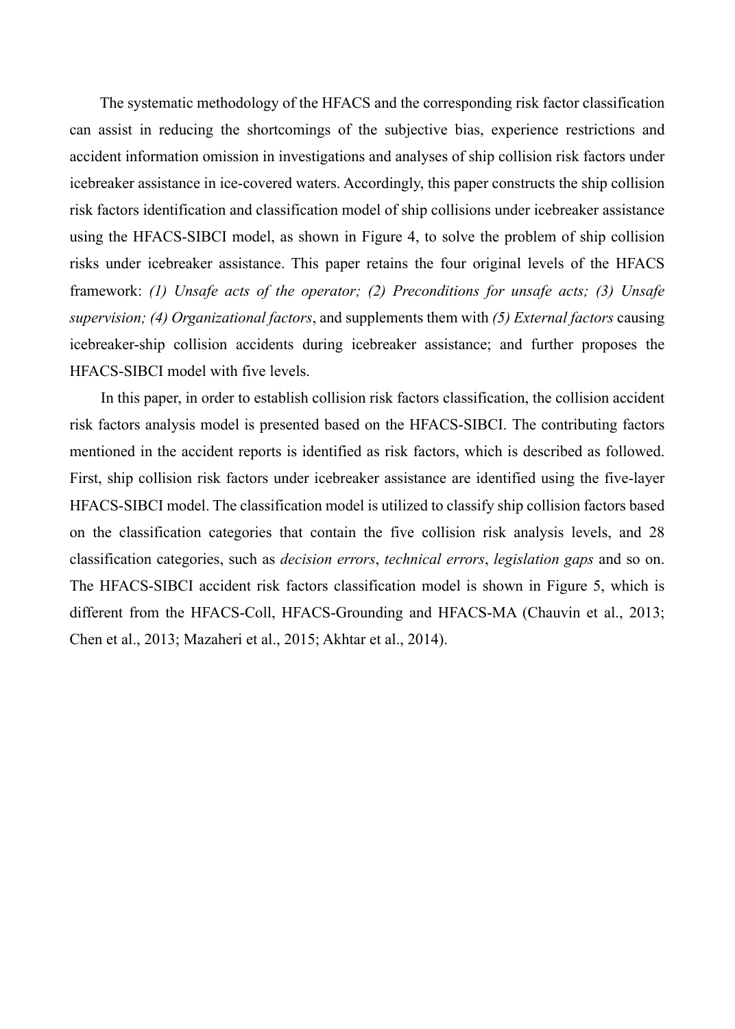The systematic methodology of the HFACS and the corresponding risk factor classification can assist in reducing the shortcomings of the subjective bias, experience restrictions and accident information omission in investigations and analyses of ship collision risk factors under icebreaker assistance in ice-covered waters. Accordingly, this paper constructs the ship collision risk factors identification and classification model of ship collisions under icebreaker assistance using the HFACS-SIBCI model, as shown in Figure 4, to solve the problem of ship collision risks under icebreaker assistance. This paper retains the four original levels of the HFACS framework: (1) Unsafe acts of the operator; (2) Preconditions for unsafe acts; (3) Unsafe *supervision; (4) Organizational factors*, and supplements them with *(5) External factors* causing icebreaker-ship collision accidents during icebreaker assistance; and further proposes the HFACS-SIBCI model with five levels.

In this paper, in order to establish collision risk factors classification, the collision accident risk factors analysis model is presented based on the HFACS-SIBCI. The contributing factors mentioned in the accident reports is identified as risk factors, which is described as followed. First, ship collision risk factors under icebreaker assistance are identified using the five-layer HFACS-SIBCI model. The classification model is utilized to classify ship collision factors based on the classification categories that contain the five collision risk analysis levels, and 28 classification categories, such as *decision errors*, *technical errors*, *legislation gaps* and so on. The HFACS-SIBCI accident risk factors classification model is shown in Figure 5, which is different from the HFACS-Coll, HFACS-Grounding and HFACS-MA (Chauvin et al., 2013; Chen et al., 2013; Mazaheri et al., 2015; Akhtar et al., 2014).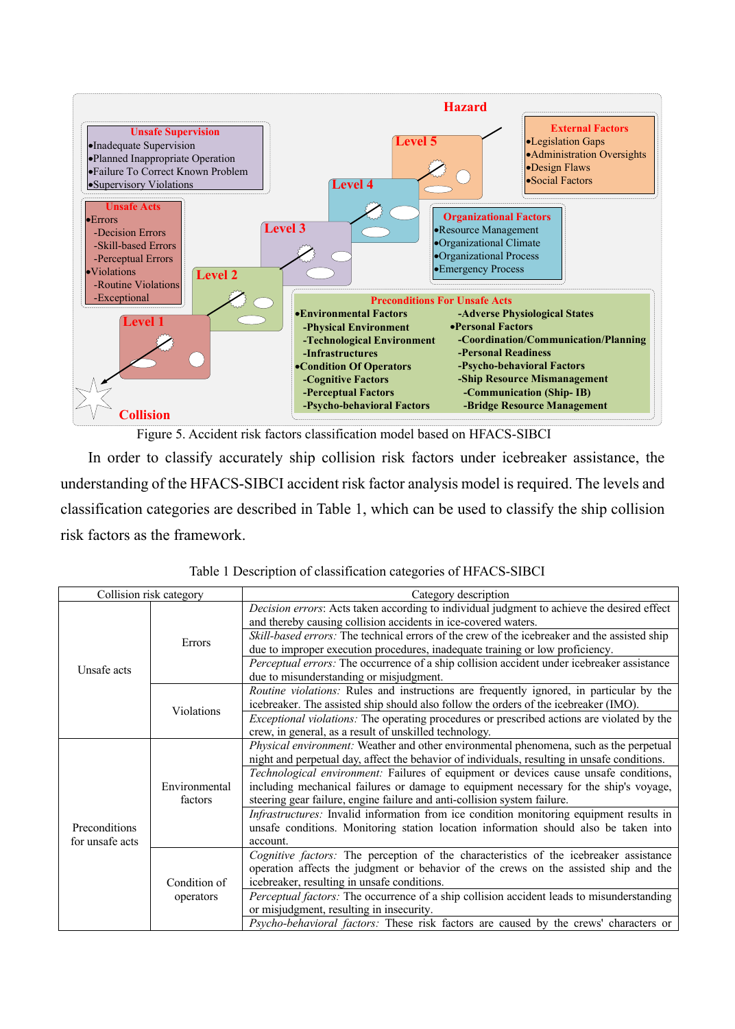

Figure 5. Accident risk factors classification model based on HFACS-SIBCI

In order to classify accurately ship collision risk factors under icebreaker assistance, the understanding of the HFACS-SIBCI accident risk factor analysis model is required. The levels and classification categories are described in Table 1, which can be used to classify the ship collision risk factors as the framework.

|                                  | Collision risk category  | Category description                                                                                                                                                                                                                                      |
|----------------------------------|--------------------------|-----------------------------------------------------------------------------------------------------------------------------------------------------------------------------------------------------------------------------------------------------------|
|                                  |                          | Decision errors: Acts taken according to individual judgment to achieve the desired effect<br>and thereby causing collision accidents in ice-covered waters.                                                                                              |
|                                  | Errors                   | <i>Skill-based errors:</i> The technical errors of the crew of the icebreaker and the assisted ship<br>due to improper execution procedures, inadequate training or low proficiency.                                                                      |
| Unsafe acts                      |                          | Perceptual errors: The occurrence of a ship collision accident under icebreaker assistance<br>due to misunderstanding or misjudgment.                                                                                                                     |
|                                  | Violations               | <i>Routine violations:</i> Rules and instructions are frequently ignored, in particular by the<br>icebreaker. The assisted ship should also follow the orders of the icebreaker (IMO).                                                                    |
|                                  |                          | <i>Exceptional violations:</i> The operating procedures or prescribed actions are violated by the<br>crew, in general, as a result of unskilled technology.                                                                                               |
| Preconditions<br>for unsafe acts |                          | Physical environment: Weather and other environmental phenomena, such as the perpetual<br>night and perpetual day, affect the behavior of individuals, resulting in unsafe conditions.                                                                    |
|                                  | Environmental<br>factors | Technological environment: Failures of equipment or devices cause unsafe conditions,<br>including mechanical failures or damage to equipment necessary for the ship's voyage,<br>steering gear failure, engine failure and anti-collision system failure. |
|                                  |                          | <i>Infrastructures:</i> Invalid information from ice condition monitoring equipment results in<br>unsafe conditions. Monitoring station location information should also be taken into<br>account.                                                        |
|                                  | Condition of             | Cognitive factors: The perception of the characteristics of the icebreaker assistance<br>operation affects the judgment or behavior of the crews on the assisted ship and the<br>icebreaker, resulting in unsafe conditions.                              |
|                                  | operators                | Perceptual factors: The occurrence of a ship collision accident leads to misunderstanding<br>or misjudgment, resulting in insecurity.                                                                                                                     |
|                                  |                          | <i>Psycho-behavioral factors:</i> These risk factors are caused by the crews' characters or                                                                                                                                                               |

Table 1 Description of classification categories of HFACS-SIBCI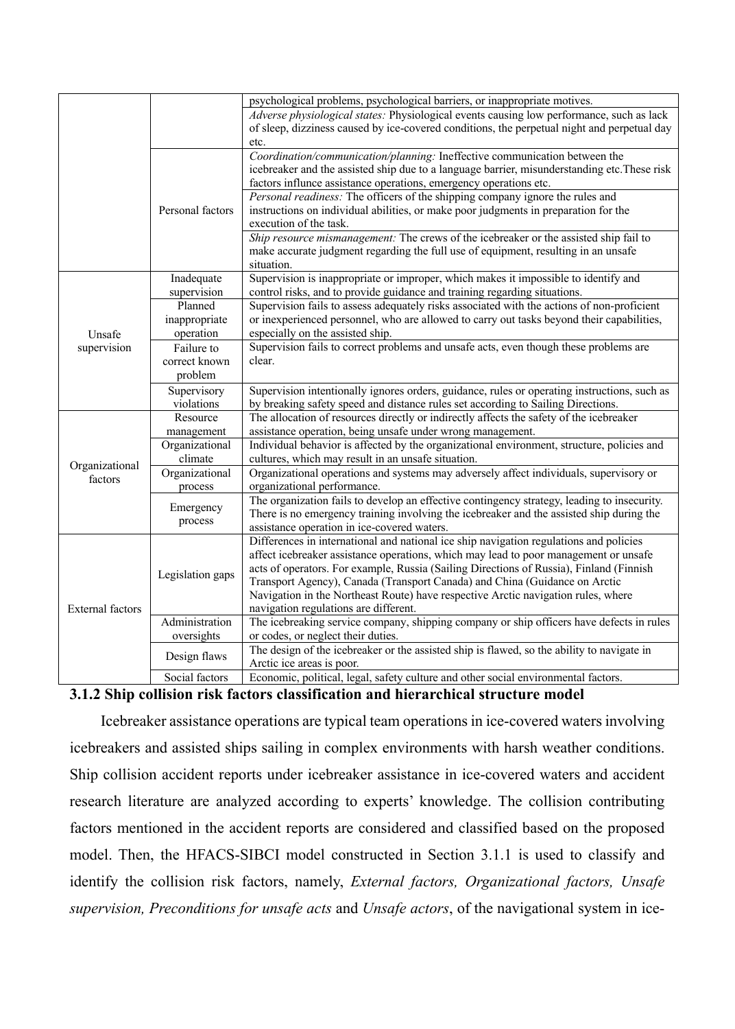|                         |                            | psychological problems, psychological barriers, or inappropriate motives.                                                                                                       |
|-------------------------|----------------------------|---------------------------------------------------------------------------------------------------------------------------------------------------------------------------------|
|                         |                            | Adverse physiological states: Physiological events causing low performance, such as lack                                                                                        |
|                         |                            | of sleep, dizziness caused by ice-covered conditions, the perpetual night and perpetual day                                                                                     |
|                         |                            | etc.                                                                                                                                                                            |
|                         |                            | Coordination/communication/planning: Ineffective communication between the                                                                                                      |
|                         |                            | icebreaker and the assisted ship due to a language barrier, misunderstanding etc. These risk                                                                                    |
|                         |                            | factors influnce assistance operations, emergency operations etc.                                                                                                               |
|                         |                            | Personal readiness: The officers of the shipping company ignore the rules and                                                                                                   |
|                         | Personal factors           | instructions on individual abilities, or make poor judgments in preparation for the                                                                                             |
|                         |                            | execution of the task.                                                                                                                                                          |
|                         |                            | Ship resource mismanagement: The crews of the icebreaker or the assisted ship fail to                                                                                           |
|                         |                            | make accurate judgment regarding the full use of equipment, resulting in an unsafe                                                                                              |
|                         |                            | situation.                                                                                                                                                                      |
|                         | Inadequate                 | Supervision is inappropriate or improper, which makes it impossible to identify and                                                                                             |
|                         | supervision                | control risks, and to provide guidance and training regarding situations.                                                                                                       |
|                         | Planned                    | Supervision fails to assess adequately risks associated with the actions of non-proficient                                                                                      |
|                         | inappropriate<br>operation | or inexperienced personnel, who are allowed to carry out tasks beyond their capabilities,<br>especially on the assisted ship.                                                   |
| Unsafe                  |                            |                                                                                                                                                                                 |
| supervision             | Failure to                 | Supervision fails to correct problems and unsafe acts, even though these problems are<br>clear.                                                                                 |
|                         | correct known              |                                                                                                                                                                                 |
|                         | problem                    |                                                                                                                                                                                 |
|                         | Supervisory                | Supervision intentionally ignores orders, guidance, rules or operating instructions, such as                                                                                    |
|                         | violations                 | by breaking safety speed and distance rules set according to Sailing Directions.                                                                                                |
|                         | Resource                   | The allocation of resources directly or indirectly affects the safety of the icebreaker                                                                                         |
|                         | management                 | assistance operation, being unsafe under wrong management.                                                                                                                      |
|                         | Organizational             | Individual behavior is affected by the organizational environment, structure, policies and                                                                                      |
| Organizational          | climate                    | cultures, which may result in an unsafe situation.                                                                                                                              |
| factors                 | Organizational             | Organizational operations and systems may adversely affect individuals, supervisory or                                                                                          |
|                         | process                    | organizational performance.                                                                                                                                                     |
|                         | Emergency                  | The organization fails to develop an effective contingency strategy, leading to insecurity.                                                                                     |
|                         | process                    | There is no emergency training involving the icebreaker and the assisted ship during the                                                                                        |
|                         |                            | assistance operation in ice-covered waters.<br>Differences in international and national ice ship navigation regulations and policies                                           |
|                         |                            |                                                                                                                                                                                 |
|                         |                            | affect icebreaker assistance operations, which may lead to poor management or unsafe<br>acts of operators. For example, Russia (Sailing Directions of Russia), Finland (Finnish |
|                         | Legislation gaps           | Transport Agency), Canada (Transport Canada) and China (Guidance on Arctic                                                                                                      |
|                         |                            | Navigation in the Northeast Route) have respective Arctic navigation rules, where                                                                                               |
| <b>External factors</b> |                            | navigation regulations are different.                                                                                                                                           |
|                         | Administration             | The icebreaking service company, shipping company or ship officers have defects in rules                                                                                        |
|                         | oversights                 | or codes, or neglect their duties.                                                                                                                                              |
|                         |                            | The design of the icebreaker or the assisted ship is flawed, so the ability to navigate in                                                                                      |
|                         | Design flaws               | Arctic ice areas is poor.                                                                                                                                                       |
|                         | Social factors             | Economic, political, legal, safety culture and other social environmental factors.                                                                                              |
|                         |                            |                                                                                                                                                                                 |

## **3.1.2 Ship collision risk factors classification and hierarchical structure model**

Icebreaker assistance operations are typical team operations in ice-covered waters involving icebreakers and assisted ships sailing in complex environments with harsh weather conditions. Ship collision accident reports under icebreaker assistance in ice-covered waters and accident research literature are analyzed according to experts' knowledge. The collision contributing factors mentioned in the accident reports are considered and classified based on the proposed model. Then, the HFACS-SIBCI model constructed in Section 3.1.1 is used to classify and identify the collision risk factors, namely, *External factors, Organizational factors, Unsafe supervision, Preconditions for unsafe acts* and *Unsafe actors*, of the navigational system in ice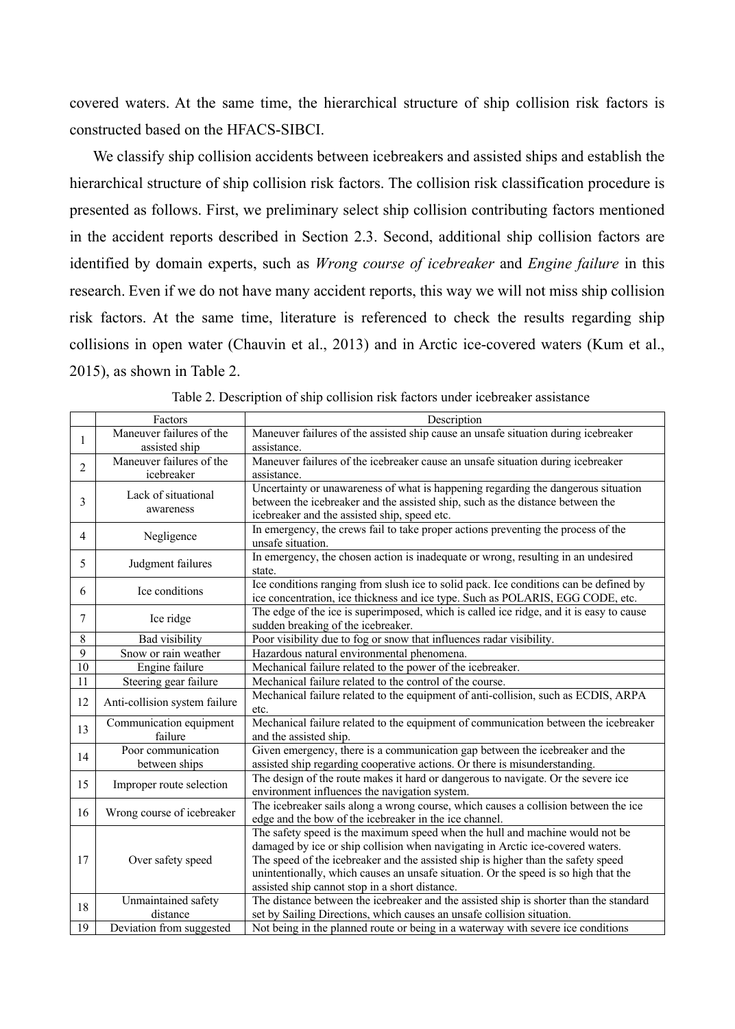covered waters. At the same time, the hierarchical structure of ship collision risk factors is constructed based on the HFACS-SIBCI.

We classify ship collision accidents between icebreakers and assisted ships and establish the hierarchical structure of ship collision risk factors. The collision risk classification procedure is presented as follows. First, we preliminary select ship collision contributing factors mentioned in the accident reports described in Section 2.3. Second, additional ship collision factors are identified by domain experts, such as *Wrong course of icebreaker* and *Engine failure* in this research. Even if we do not have many accident reports, this way we will not miss ship collision risk factors. At the same time, literature is referenced to check the results regarding ship collisions in open water (Chauvin et al., 2013) and in Arctic ice-covered waters (Kum et al., 2015), as shown in Table 2.

|                 | Factors                                   | Description                                                                                                                                                                                                                                                                                                                                                                                  |
|-----------------|-------------------------------------------|----------------------------------------------------------------------------------------------------------------------------------------------------------------------------------------------------------------------------------------------------------------------------------------------------------------------------------------------------------------------------------------------|
| 1               | Maneuver failures of the<br>assisted ship | Maneuver failures of the assisted ship cause an unsafe situation during icebreaker<br>assistance.                                                                                                                                                                                                                                                                                            |
| $\overline{2}$  | Maneuver failures of the<br>icebreaker    | Maneuver failures of the icebreaker cause an unsafe situation during icebreaker<br>assistance.                                                                                                                                                                                                                                                                                               |
| 3               | Lack of situational<br>awareness          | Uncertainty or unawareness of what is happening regarding the dangerous situation<br>between the icebreaker and the assisted ship, such as the distance between the<br>icebreaker and the assisted ship, speed etc.                                                                                                                                                                          |
| 4               | Negligence                                | In emergency, the crews fail to take proper actions preventing the process of the<br>unsafe situation.                                                                                                                                                                                                                                                                                       |
| 5               | Judgment failures                         | In emergency, the chosen action is inadequate or wrong, resulting in an undesired<br>state.                                                                                                                                                                                                                                                                                                  |
| 6               | Ice conditions                            | Ice conditions ranging from slush ice to solid pack. Ice conditions can be defined by<br>ice concentration, ice thickness and ice type. Such as POLARIS, EGG CODE, etc.                                                                                                                                                                                                                      |
| 7               | Ice ridge                                 | The edge of the ice is superimposed, which is called ice ridge, and it is easy to cause<br>sudden breaking of the icebreaker.                                                                                                                                                                                                                                                                |
| 8               | Bad visibility                            | Poor visibility due to fog or snow that influences radar visibility.                                                                                                                                                                                                                                                                                                                         |
| 9               | Snow or rain weather                      | Hazardous natural environmental phenomena.                                                                                                                                                                                                                                                                                                                                                   |
| $\overline{10}$ | Engine failure                            | Mechanical failure related to the power of the icebreaker.                                                                                                                                                                                                                                                                                                                                   |
| 11              | Steering gear failure                     | Mechanical failure related to the control of the course.                                                                                                                                                                                                                                                                                                                                     |
| 12              | Anti-collision system failure             | Mechanical failure related to the equipment of anti-collision, such as ECDIS, ARPA<br>etc.                                                                                                                                                                                                                                                                                                   |
| 13              | Communication equipment<br>failure        | Mechanical failure related to the equipment of communication between the icebreaker<br>and the assisted ship.                                                                                                                                                                                                                                                                                |
| 14              | Poor communication<br>between ships       | Given emergency, there is a communication gap between the icebreaker and the<br>assisted ship regarding cooperative actions. Or there is misunderstanding.                                                                                                                                                                                                                                   |
| 15              | Improper route selection                  | The design of the route makes it hard or dangerous to navigate. Or the severe ice<br>environment influences the navigation system.                                                                                                                                                                                                                                                           |
| 16              | Wrong course of icebreaker                | The icebreaker sails along a wrong course, which causes a collision between the ice<br>edge and the bow of the icebreaker in the ice channel.                                                                                                                                                                                                                                                |
| 17              | Over safety speed                         | The safety speed is the maximum speed when the hull and machine would not be<br>damaged by ice or ship collision when navigating in Arctic ice-covered waters.<br>The speed of the icebreaker and the assisted ship is higher than the safety speed<br>unintentionally, which causes an unsafe situation. Or the speed is so high that the<br>assisted ship cannot stop in a short distance. |
| 18              | Unmaintained safety<br>distance           | The distance between the icebreaker and the assisted ship is shorter than the standard<br>set by Sailing Directions, which causes an unsafe collision situation.                                                                                                                                                                                                                             |
| 19              | Deviation from suggested                  | Not being in the planned route or being in a waterway with severe ice conditions                                                                                                                                                                                                                                                                                                             |

Table 2. Description of ship collision risk factors under icebreaker assistance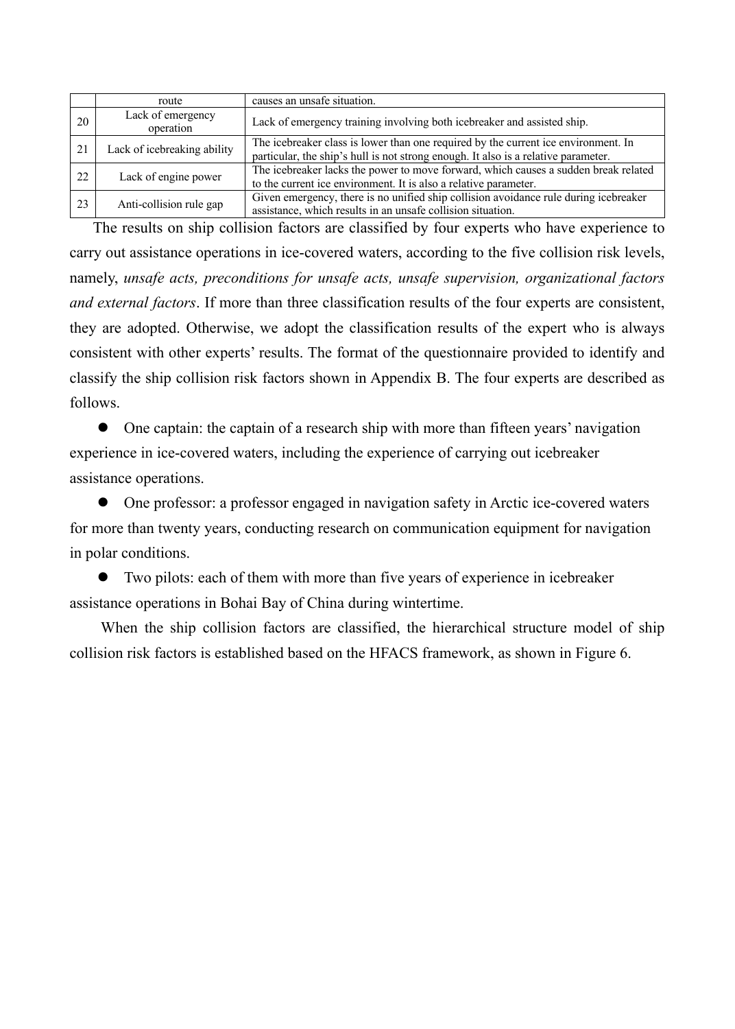|    | route                          | causes an unsafe situation.                                                                                                                                              |
|----|--------------------------------|--------------------------------------------------------------------------------------------------------------------------------------------------------------------------|
| 20 | Lack of emergency<br>operation | Lack of emergency training involving both icebreaker and assisted ship.                                                                                                  |
| 21 | Lack of icebreaking ability    | The icebreaker class is lower than one required by the current ice environment. In<br>particular, the ship's hull is not strong enough. It also is a relative parameter. |
| 22 | Lack of engine power           | The icebreaker lacks the power to move forward, which causes a sudden break related<br>to the current ice environment. It is also a relative parameter.                  |
| 23 | Anti-collision rule gap        | Given emergency, there is no unified ship collision avoidance rule during icebreaker<br>assistance, which results in an unsafe collision situation.                      |

The results on ship collision factors are classified by four experts who have experience to carry out assistance operations in ice-covered waters, according to the five collision risk levels, namely, *unsafe acts, preconditions for unsafe acts, unsafe supervision, organizational factors and external factors*. If more than three classification results of the four experts are consistent, they are adopted. Otherwise, we adopt the classification results of the expert who is always consistent with other experts' results. The format of the questionnaire provided to identify and classify the ship collision risk factors shown in Appendix B. The four experts are described as follows.

 $\bullet$  One captain: the captain of a research ship with more than fifteen years' navigation experience in ice-covered waters, including the experience of carrying out icebreaker assistance operations.

• One professor: a professor engaged in navigation safety in Arctic ice-covered waters for more than twenty years, conducting research on communication equipment for navigation in polar conditions.

l Two pilots: each of them with more than five years of experience in icebreaker assistance operations in Bohai Bay of China during wintertime.

When the ship collision factors are classified, the hierarchical structure model of ship collision risk factors is established based on the HFACS framework, as shown in Figure 6.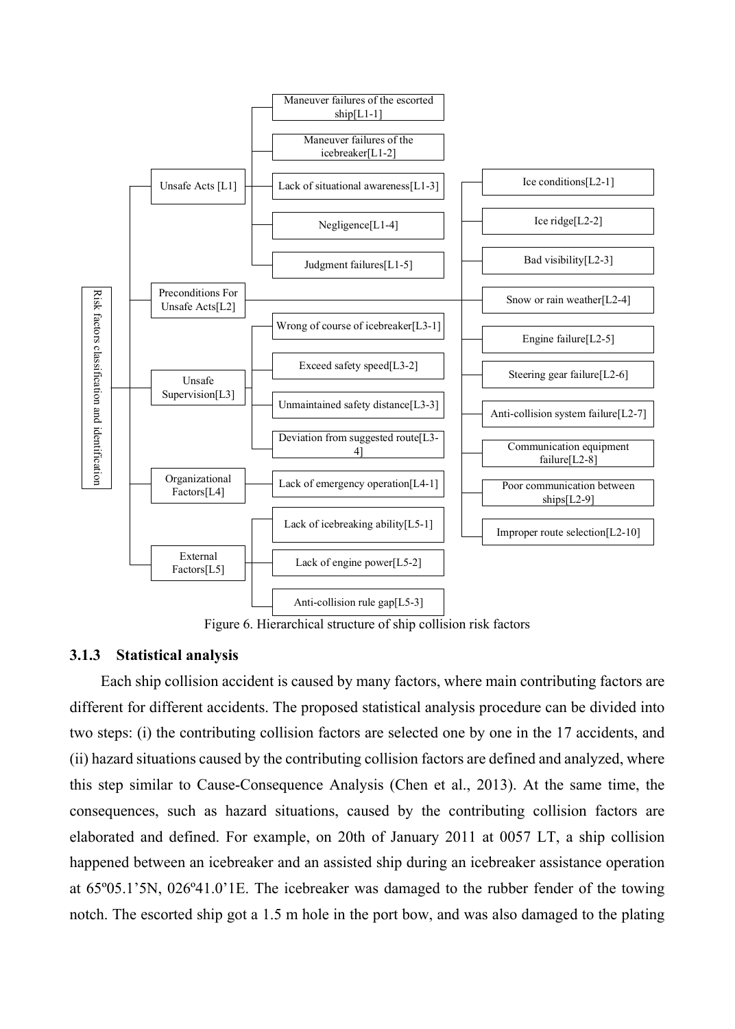

Figure 6. Hierarchical structure of ship collision risk factors

#### **3.1.3 Statistical analysis**

Each ship collision accident is caused by many factors, where main contributing factors are different for different accidents. The proposed statistical analysis procedure can be divided into two steps: (i) the contributing collision factors are selected one by one in the 17 accidents, and (ii) hazard situations caused by the contributing collision factors are defined and analyzed, where this step similar to Cause-Consequence Analysis (Chen et al., 2013). At the same time, the consequences, such as hazard situations, caused by the contributing collision factors are elaborated and defined. For example, on 20th of January 2011 at 0057 LT, a ship collision happened between an icebreaker and an assisted ship during an icebreaker assistance operation at 65º05.1'5N, 026º41.0'1E. The icebreaker was damaged to the rubber fender of the towing notch. The escorted ship got a 1.5 m hole in the port bow, and was also damaged to the plating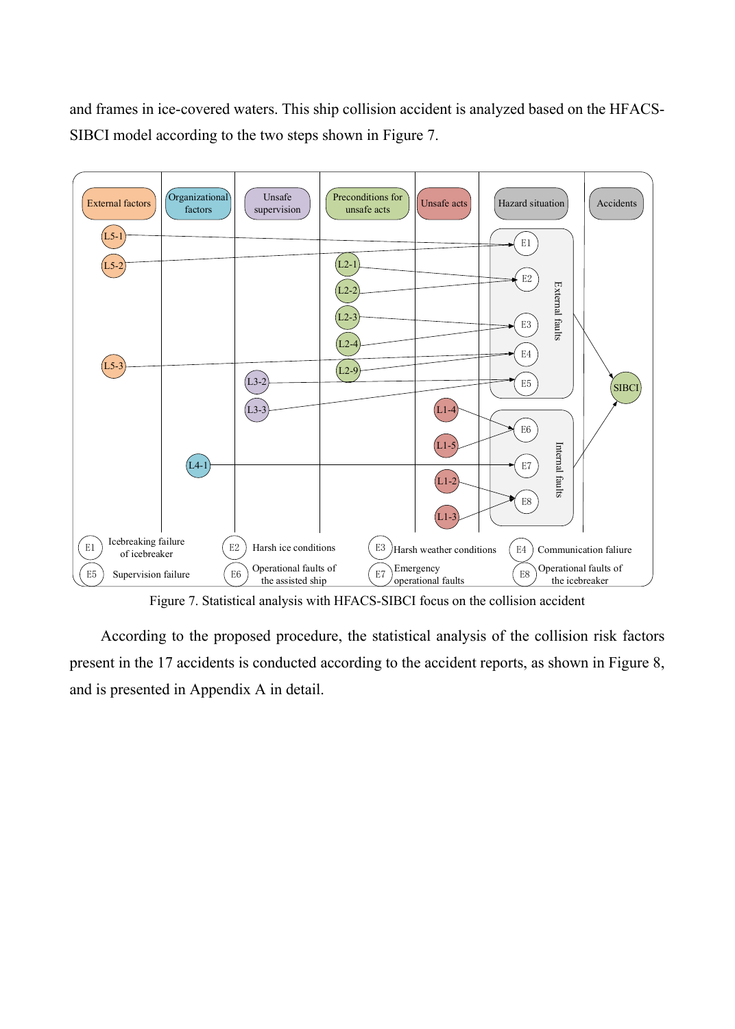and frames in ice-covered waters. This ship collision accident is analyzed based on the HFACS-SIBCI model according to the two steps shown in Figure 7.



Figure 7. Statistical analysis with HFACS-SIBCI focus on the collision accident

According to the proposed procedure, the statistical analysis of the collision risk factors present in the 17 accidents is conducted according to the accident reports, as shown in Figure 8, and is presented in Appendix A in detail.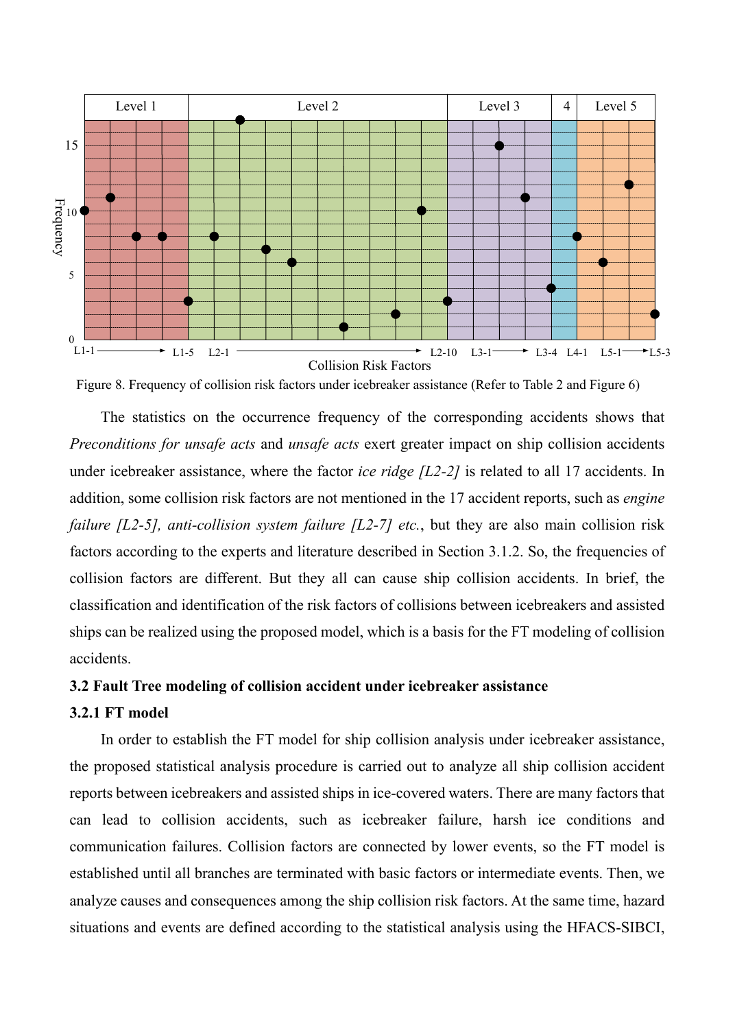

Figure 8. Frequency of collision risk factors under icebreaker assistance (Refer to Table 2 and Figure 6)

The statistics on the occurrence frequency of the corresponding accidents shows that *Preconditions for unsafe acts* and *unsafe acts* exert greater impact on ship collision accidents under icebreaker assistance, where the factor *ice ridge [L2-2]* is related to all 17 accidents. In addition, some collision risk factors are not mentioned in the 17 accident reports, such as *engine failure [L2-5], anti-collision system failure [L2-7] etc.*, but they are also main collision risk factors according to the experts and literature described in Section 3.1.2. So, the frequencies of collision factors are different. But they all can cause ship collision accidents. In brief, the classification and identification of the risk factors of collisions between icebreakers and assisted ships can be realized using the proposed model, which is a basis for the FT modeling of collision accidents.

# **3.2 Fault Tree modeling of collision accident under icebreaker assistance**

# **3.2.1 FT model**

In order to establish the FT model for ship collision analysis under icebreaker assistance, the proposed statistical analysis procedure is carried out to analyze all ship collision accident reports between icebreakers and assisted ships in ice-covered waters. There are many factors that can lead to collision accidents, such as icebreaker failure, harsh ice conditions and communication failures. Collision factors are connected by lower events, so the FT model is established until all branches are terminated with basic factors or intermediate events. Then, we analyze causes and consequences among the ship collision risk factors. At the same time, hazard situations and events are defined according to the statistical analysis using the HFACS-SIBCI,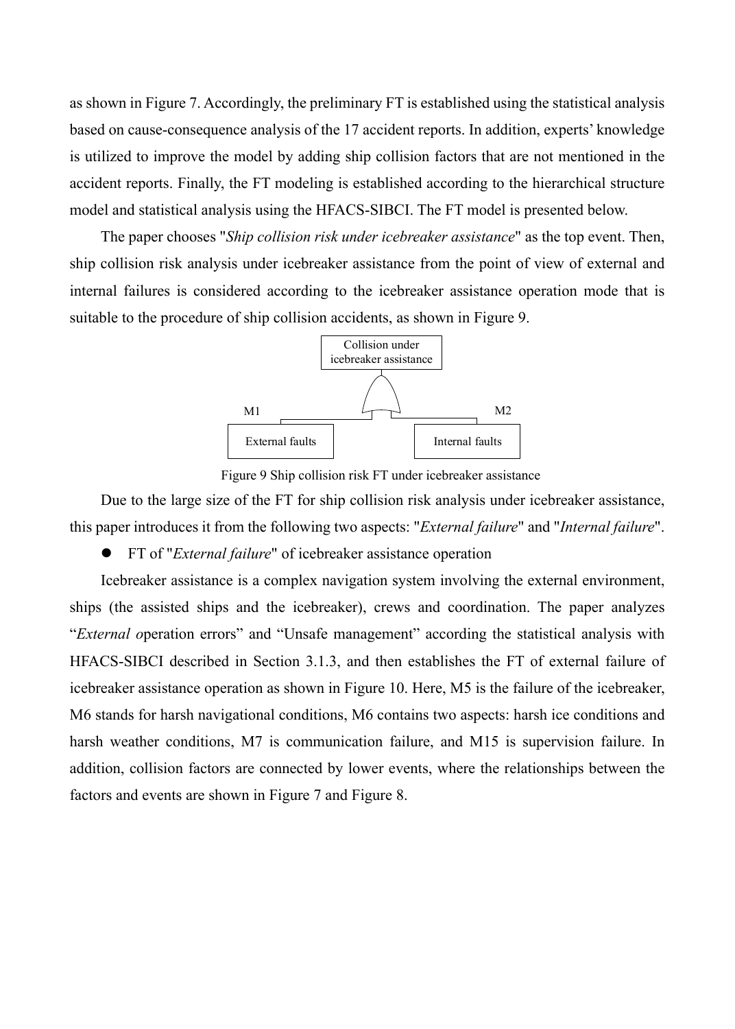as shown in Figure 7. Accordingly, the preliminary FT is established using the statistical analysis based on cause-consequence analysis of the 17 accident reports. In addition, experts' knowledge is utilized to improve the model by adding ship collision factors that are not mentioned in the accident reports. Finally, the FT modeling is established according to the hierarchical structure model and statistical analysis using the HFACS-SIBCI. The FT model is presented below.

The paper chooses "*Ship collision risk under icebreaker assistance*" as the top event. Then, ship collision risk analysis under icebreaker assistance from the point of view of external and internal failures is considered according to the icebreaker assistance operation mode that is suitable to the procedure of ship collision accidents, as shown in Figure 9.



Figure 9 Ship collision risk FT under icebreaker assistance

Due to the large size of the FT for ship collision risk analysis under icebreaker assistance, this paper introduces it from the following two aspects: "*External failure*" and "*Internal failure*".

l FT of "*External failure*" of icebreaker assistance operation

Icebreaker assistance is a complex navigation system involving the external environment, ships (the assisted ships and the icebreaker), crews and coordination. The paper analyzes "*External o*peration errors" and "Unsafe management" according the statistical analysis with HFACS-SIBCI described in Section 3.1.3, and then establishes the FT of external failure of icebreaker assistance operation as shown in Figure 10. Here, M5 is the failure of the icebreaker, M6 stands for harsh navigational conditions, M6 contains two aspects: harsh ice conditions and harsh weather conditions, M7 is communication failure, and M15 is supervision failure. In addition, collision factors are connected by lower events, where the relationships between the factors and events are shown in Figure 7 and Figure 8.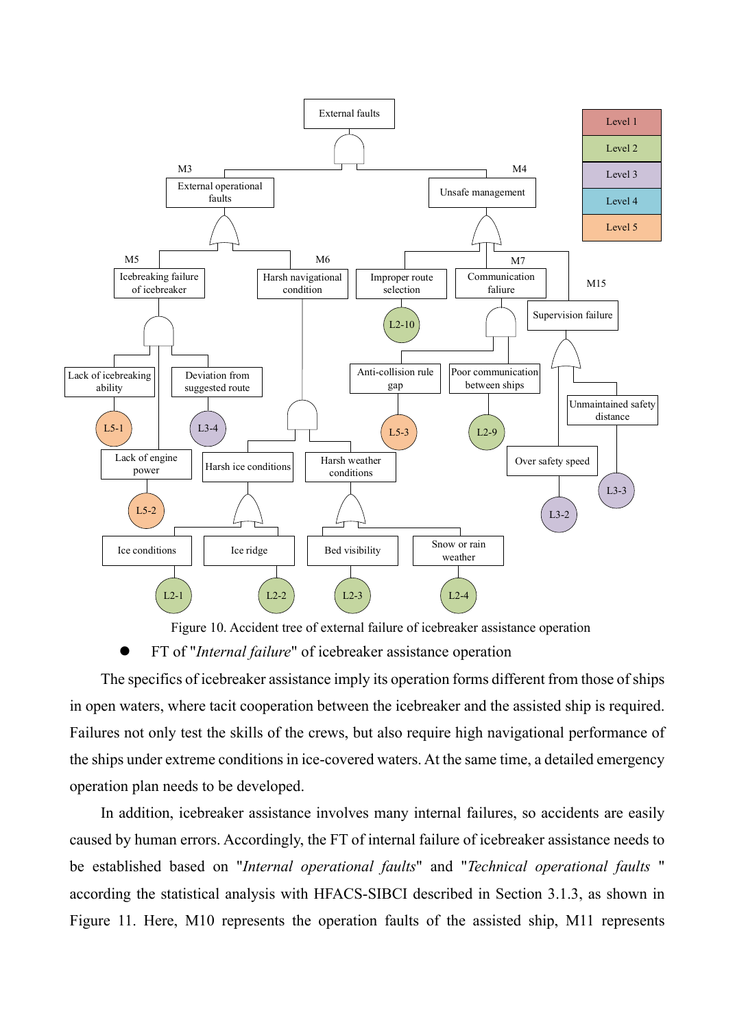

Figure 10. Accident tree of external failure of icebreaker assistance operation

l FT of "*Internal failure*" of icebreaker assistance operation

The specifics of icebreaker assistance imply its operation forms different from those of ships in open waters, where tacit cooperation between the icebreaker and the assisted ship is required. Failures not only test the skills of the crews, but also require high navigational performance of the ships under extreme conditions in ice-covered waters. At the same time, a detailed emergency operation plan needs to be developed.

In addition, icebreaker assistance involves many internal failures, so accidents are easily caused by human errors. Accordingly, the FT of internal failure of icebreaker assistance needs to be established based on "*Internal operational faults*" and "*Technical operational faults* " according the statistical analysis with HFACS-SIBCI described in Section 3.1.3, as shown in Figure 11. Here, M10 represents the operation faults of the assisted ship, M11 represents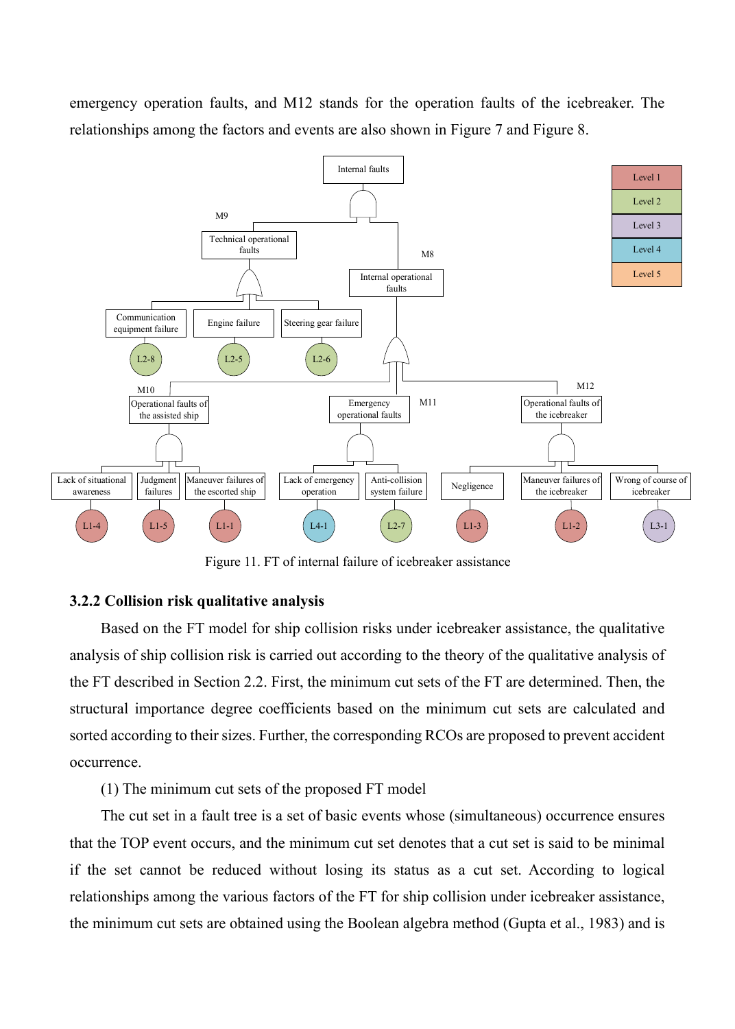emergency operation faults, and M12 stands for the operation faults of the icebreaker. The relationships among the factors and events are also shown in Figure 7 and Figure 8.



Figure 11. FT of internal failure of icebreaker assistance

#### **3.2.2 Collision risk qualitative analysis**

Based on the FT model for ship collision risks under icebreaker assistance, the qualitative analysis of ship collision risk is carried out according to the theory of the qualitative analysis of the FT described in Section 2.2. First, the minimum cut sets of the FT are determined. Then, the structural importance degree coefficients based on the minimum cut sets are calculated and sorted according to their sizes. Further, the corresponding RCOs are proposed to prevent accident occurrence.

(1) The minimum cut sets of the proposed FT model

The cut set in a fault tree is a set of basic events whose (simultaneous) occurrence ensures that the TOP event occurs, and the minimum cut set denotes that a cut set is said to be minimal if the set cannot be reduced without losing its status as a cut set. According to logical relationships among the various factors of the FT for ship collision under icebreaker assistance, the minimum cut sets are obtained using the Boolean algebra method (Gupta et al., 1983) and is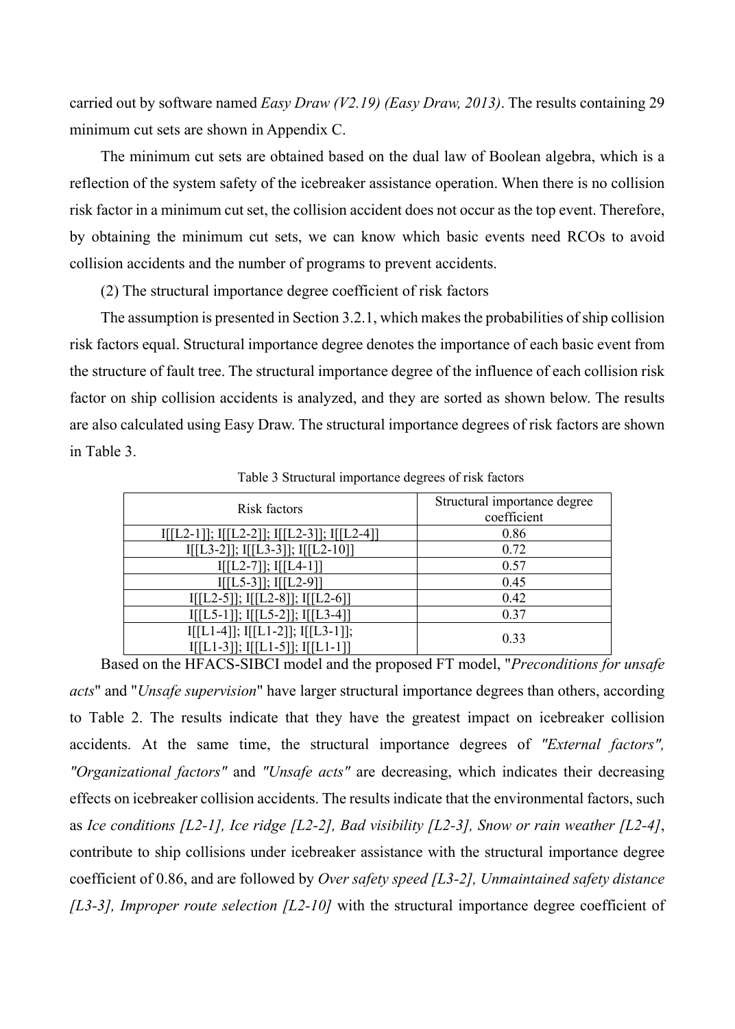carried out by software named *Easy Draw (V2.19) (Easy Draw, 2013)*. The results containing 29 minimum cut sets are shown in Appendix C.

The minimum cut sets are obtained based on the dual law of Boolean algebra, which is a reflection of the system safety of the icebreaker assistance operation. When there is no collision risk factor in a minimum cut set, the collision accident does not occur as the top event. Therefore, by obtaining the minimum cut sets, we can know which basic events need RCOs to avoid collision accidents and the number of programs to prevent accidents.

(2) The structural importance degree coefficient of risk factors

The assumption is presented in Section 3.2.1, which makes the probabilities of ship collision risk factors equal. Structural importance degree denotes the importance of each basic event from the structure of fault tree. The structural importance degree of the influence of each collision risk factor on ship collision accidents is analyzed, and they are sorted as shown below. The results are also calculated using Easy Draw. The structural importance degrees of risk factors are shown in Table 3.

| Risk factors                                                                 | Structural importance degree<br>coefficient |
|------------------------------------------------------------------------------|---------------------------------------------|
| I[[L2-1]]; I[[L2-2]]; I[[L2-3]]; I[[L2-4]]                                   | 0.86                                        |
| $I[[L3-2]]$ ; $I[[L3-3]]$ ; $I[[L2-10]]$                                     | 0.72                                        |
| $I[[L2-7]]$ ; $I[[L4-1]]$                                                    | 0.57                                        |
| $I[[L5-3]]$ ; $I[[L2-9]]$                                                    | 0.45                                        |
| $I[[L2-5]]$ ; $I[[L2-8]]$ ; $I[[L2-6]]$                                      | 0.42                                        |
| $I[[L5-1]]; I[[L5-2]]; I[[L3-4]]$                                            | 0.37                                        |
| $I[[L1-4]]$ ; $I[[L1-2]]$ ; $I[[L3-1]]$ ;<br>I[[L1-3]]; I[[L1-5]]; I[[L1-1]] | 0.33                                        |

Table 3 Structural importance degrees of risk factors

Based on the HFACS-SIBCI model and the proposed FT model, "*Preconditions for unsafe acts*" and "*Unsafe supervision*" have larger structural importance degrees than others, according to Table 2. The results indicate that they have the greatest impact on icebreaker collision accidents. At the same time, the structural importance degrees of *"External factors", "Organizational factors"* and *"Unsafe acts"* are decreasing, which indicates their decreasing effects on icebreaker collision accidents. The results indicate that the environmental factors, such as *Ice conditions [L2-1], Ice ridge [L2-2], Bad visibility [L2-3], Snow or rain weather [L2-4]*, contribute to ship collisions under icebreaker assistance with the structural importance degree coefficient of 0.86, and are followed by *Over safety speed [L3-2], Unmaintained safety distance [L3-3], Improper route selection [L2-10]* with the structural importance degree coefficient of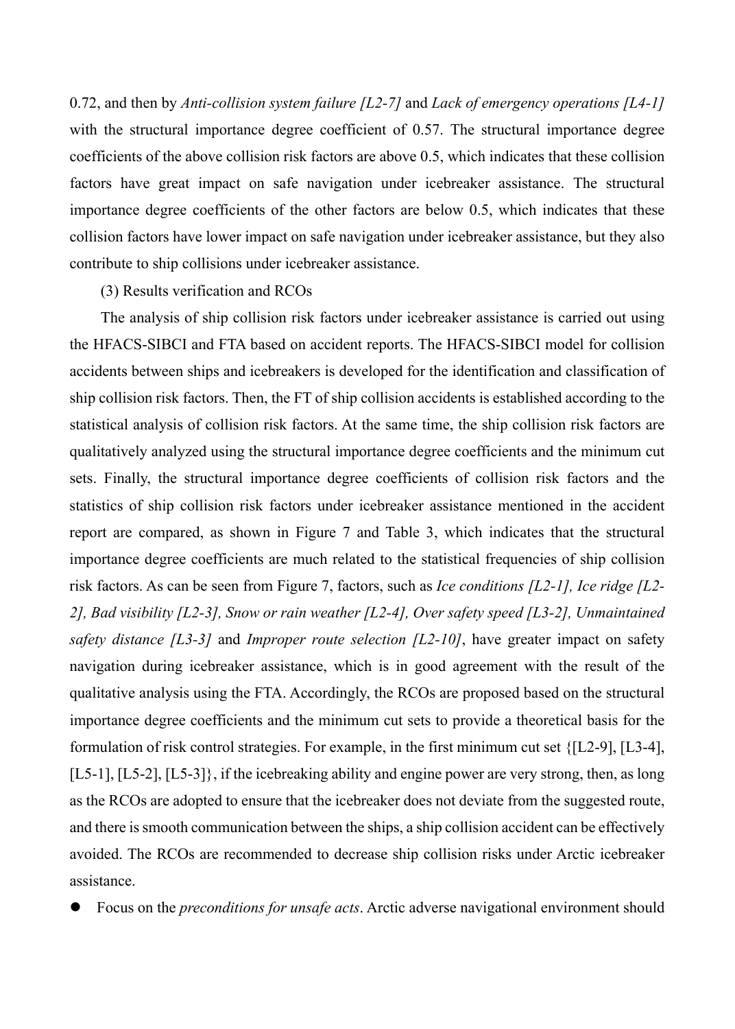0.72, and then by *Anti-collision system failure [L2-7]* and *Lack of emergency operations [L4-1]* with the structural importance degree coefficient of 0.57. The structural importance degree coefficients of the above collision risk factors are above 0.5, which indicates that these collision factors have great impact on safe navigation under icebreaker assistance. The structural importance degree coefficients of the other factors are below 0.5, which indicates that these collision factors have lower impact on safe navigation under icebreaker assistance, but they also contribute to ship collisions under icebreaker assistance.

#### (3) Results verification and RCOs

The analysis of ship collision risk factors under icebreaker assistance is carried out using the HFACS-SIBCI and FTA based on accident reports. The HFACS-SIBCI model for collision accidents between ships and icebreakers is developed for the identification and classification of ship collision risk factors. Then, the FT of ship collision accidents is established according to the statistical analysis of collision risk factors. At the same time, the ship collision risk factors are qualitatively analyzed using the structural importance degree coefficients and the minimum cut sets. Finally, the structural importance degree coefficients of collision risk factors and the statistics of ship collision risk factors under icebreaker assistance mentioned in the accident report are compared, as shown in Figure 7 and Table 3, which indicates that the structural importance degree coefficients are much related to the statistical frequencies of ship collision risk factors. As can be seen from Figure 7, factors, such as *Ice conditions [L2-1], Ice ridge [L2- 2], Bad visibility [L2-3], Snow or rain weather [L2-4], Over safety speed [L3-2], Unmaintained safety distance [L3-3]* and *Improper route selection [L2-10]*, have greater impact on safety navigation during icebreaker assistance, which is in good agreement with the result of the qualitative analysis using the FTA. Accordingly, the RCOs are proposed based on the structural importance degree coefficients and the minimum cut sets to provide a theoretical basis for the formulation of risk control strategies. For example, in the first minimum cut set {[L2-9], [L3-4], [L5-1], [L5-2], [L5-3]}, if the icebreaking ability and engine power are very strong, then, as long as the RCOs are adopted to ensure that the icebreaker does not deviate from the suggested route, and there issmooth communication between the ships, a ship collision accident can be effectively avoided. The RCOs are recommended to decrease ship collision risks under Arctic icebreaker assistance.

l Focus on the *preconditions for unsafe acts*. Arctic adverse navigational environment should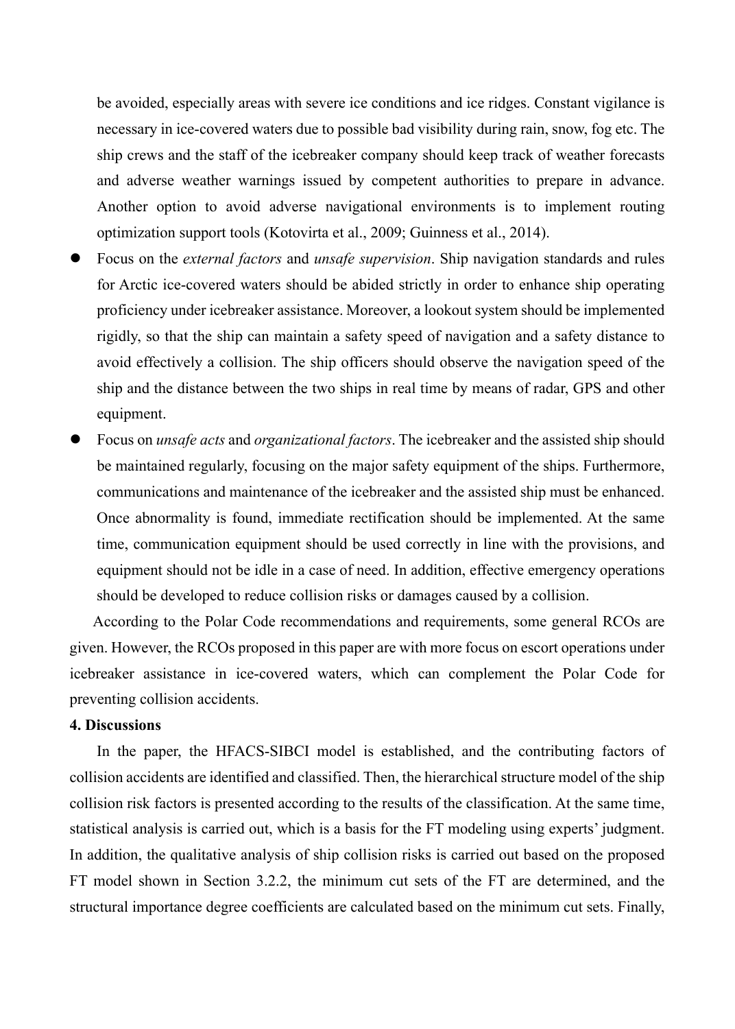be avoided, especially areas with severe ice conditions and ice ridges. Constant vigilance is necessary in ice-covered waters due to possible bad visibility during rain, snow, fog etc. The ship crews and the staff of the icebreaker company should keep track of weather forecasts and adverse weather warnings issued by competent authorities to prepare in advance. Another option to avoid adverse navigational environments is to implement routing optimization support tools (Kotovirta et al., 2009; Guinness et al., 2014).

- l Focus on the *external factors* and *unsafe supervision*. Ship navigation standards and rules for Arctic ice-covered waters should be abided strictly in order to enhance ship operating proficiency under icebreaker assistance. Moreover, a lookout system should be implemented rigidly, so that the ship can maintain a safety speed of navigation and a safety distance to avoid effectively a collision. The ship officers should observe the navigation speed of the ship and the distance between the two ships in real time by means of radar, GPS and other equipment.
- l Focus on *unsafe acts* and *organizational factors*. The icebreaker and the assisted ship should be maintained regularly, focusing on the major safety equipment of the ships. Furthermore, communications and maintenance of the icebreaker and the assisted ship must be enhanced. Once abnormality is found, immediate rectification should be implemented. At the same time, communication equipment should be used correctly in line with the provisions, and equipment should not be idle in a case of need. In addition, effective emergency operations should be developed to reduce collision risks or damages caused by a collision.

According to the Polar Code recommendations and requirements, some general RCOs are given. However, the RCOs proposed in this paper are with more focus on escort operations under icebreaker assistance in ice-covered waters, which can complement the Polar Code for preventing collision accidents.

# **4. Discussions**

In the paper, the HFACS-SIBCI model is established, and the contributing factors of collision accidents are identified and classified. Then, the hierarchical structure model of the ship collision risk factors is presented according to the results of the classification. At the same time, statistical analysis is carried out, which is a basis for the FT modeling using experts' judgment. In addition, the qualitative analysis of ship collision risks is carried out based on the proposed FT model shown in Section 3.2.2, the minimum cut sets of the FT are determined, and the structural importance degree coefficients are calculated based on the minimum cut sets. Finally,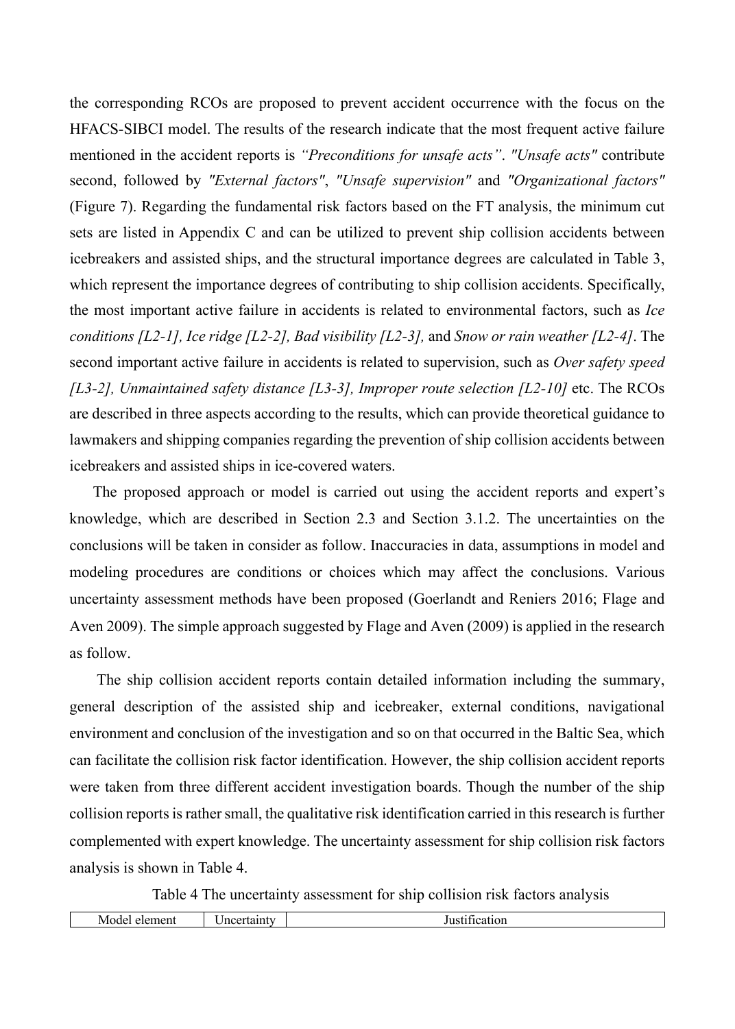the corresponding RCOs are proposed to prevent accident occurrence with the focus on the HFACS-SIBCI model. The results of the research indicate that the most frequent active failure mentioned in the accident reports is *"Preconditions for unsafe acts"*. *"Unsafe acts"* contribute second, followed by *"External factors"*, *"Unsafe supervision"* and *"Organizational factors"* (Figure 7). Regarding the fundamental risk factors based on the FT analysis, the minimum cut sets are listed in Appendix C and can be utilized to prevent ship collision accidents between icebreakers and assisted ships, and the structural importance degrees are calculated in Table 3, which represent the importance degrees of contributing to ship collision accidents. Specifically, the most important active failure in accidents is related to environmental factors, such as *Ice conditions [L2-1], Ice ridge [L2-2], Bad visibility [L2-3],* and *Snow or rain weather [L2-4]*. The second important active failure in accidents is related to supervision, such as *Over safety speed [L3-2], Unmaintained safety distance [L3-3], Improper route selection [L2-10]* etc. The RCOs are described in three aspects according to the results, which can provide theoretical guidance to lawmakers and shipping companies regarding the prevention of ship collision accidents between icebreakers and assisted ships in ice-covered waters.

The proposed approach or model is carried out using the accident reports and expert's knowledge, which are described in Section 2.3 and Section 3.1.2. The uncertainties on the conclusions will be taken in consider as follow. Inaccuracies in data, assumptions in model and modeling procedures are conditions or choices which may affect the conclusions. Various uncertainty assessment methods have been proposed (Goerlandt and Reniers 2016; Flage and Aven 2009). The simple approach suggested by Flage and Aven (2009) is applied in the research as follow.

The ship collision accident reports contain detailed information including the summary, general description of the assisted ship and icebreaker, external conditions, navigational environment and conclusion of the investigation and so on that occurred in the Baltic Sea, which can facilitate the collision risk factor identification. However, the ship collision accident reports were taken from three different accident investigation boards. Though the number of the ship collision reports is rather small, the qualitative risk identification carried in this research is further complemented with expert knowledge. The uncertainty assessment for ship collision risk factors analysis is shown in Table 4.

Table 4 The uncertainty assessment for ship collision risk factors analysis

| $. \nightharpoonup$<br>Mode<br>11 P | $ -$<br>----<br>l so<br>пc | ., |
|-------------------------------------|----------------------------|----|
|                                     |                            |    |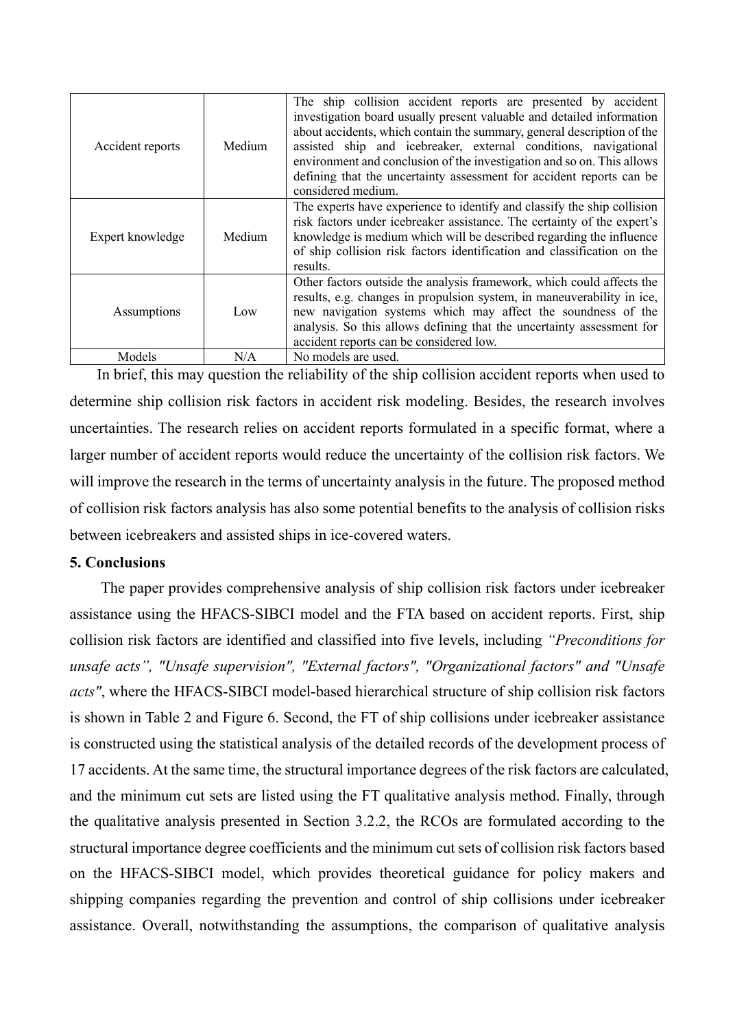| Accident reports | Medium | The ship collision accident reports are presented by accident<br>investigation board usually present valuable and detailed information<br>about accidents, which contain the summary, general description of the<br>assisted ship and icebreaker, external conditions, navigational<br>environment and conclusion of the investigation and so on. This allows<br>defining that the uncertainty assessment for accident reports can be<br>considered medium. |  |  |  |  |  |
|------------------|--------|-------------------------------------------------------------------------------------------------------------------------------------------------------------------------------------------------------------------------------------------------------------------------------------------------------------------------------------------------------------------------------------------------------------------------------------------------------------|--|--|--|--|--|
| Expert knowledge | Medium | The experts have experience to identify and classify the ship collision<br>risk factors under icebreaker assistance. The certainty of the expert's<br>knowledge is medium which will be described regarding the influence<br>of ship collision risk factors identification and classification on the<br>results.                                                                                                                                            |  |  |  |  |  |
| Assumptions      | Low    | Other factors outside the analysis framework, which could affects the<br>results, e.g. changes in propulsion system, in maneuverability in ice,<br>new navigation systems which may affect the soundness of the<br>analysis. So this allows defining that the uncertainty assessment for<br>accident reports can be considered low.                                                                                                                         |  |  |  |  |  |
| Models           | N/A    | No models are used.                                                                                                                                                                                                                                                                                                                                                                                                                                         |  |  |  |  |  |

In brief, this may question the reliability of the ship collision accident reports when used to determine ship collision risk factors in accident risk modeling. Besides, the research involves uncertainties. The research relies on accident reports formulated in a specific format, where a larger number of accident reports would reduce the uncertainty of the collision risk factors. We will improve the research in the terms of uncertainty analysis in the future. The proposed method of collision risk factors analysis has also some potential benefits to the analysis of collision risks between icebreakers and assisted ships in ice-covered waters.

# **5. Conclusions**

The paper provides comprehensive analysis of ship collision risk factors under icebreaker assistance using the HFACS-SIBCI model and the FTA based on accident reports. First, ship collision risk factors are identified and classified into five levels, including *"Preconditions for unsafe acts", "Unsafe supervision", "External factors", "Organizational factors" and "Unsafe acts"*, where the HFACS-SIBCI model-based hierarchical structure of ship collision risk factors is shown in Table 2 and Figure 6. Second, the FT of ship collisions under icebreaker assistance is constructed using the statistical analysis of the detailed records of the development process of 17 accidents. At the same time, the structural importance degrees of the risk factors are calculated, and the minimum cut sets are listed using the FT qualitative analysis method. Finally, through the qualitative analysis presented in Section 3.2.2, the RCOs are formulated according to the structural importance degree coefficients and the minimum cut sets of collision risk factors based on the HFACS-SIBCI model, which provides theoretical guidance for policy makers and shipping companies regarding the prevention and control of ship collisions under icebreaker assistance. Overall, notwithstanding the assumptions, the comparison of qualitative analysis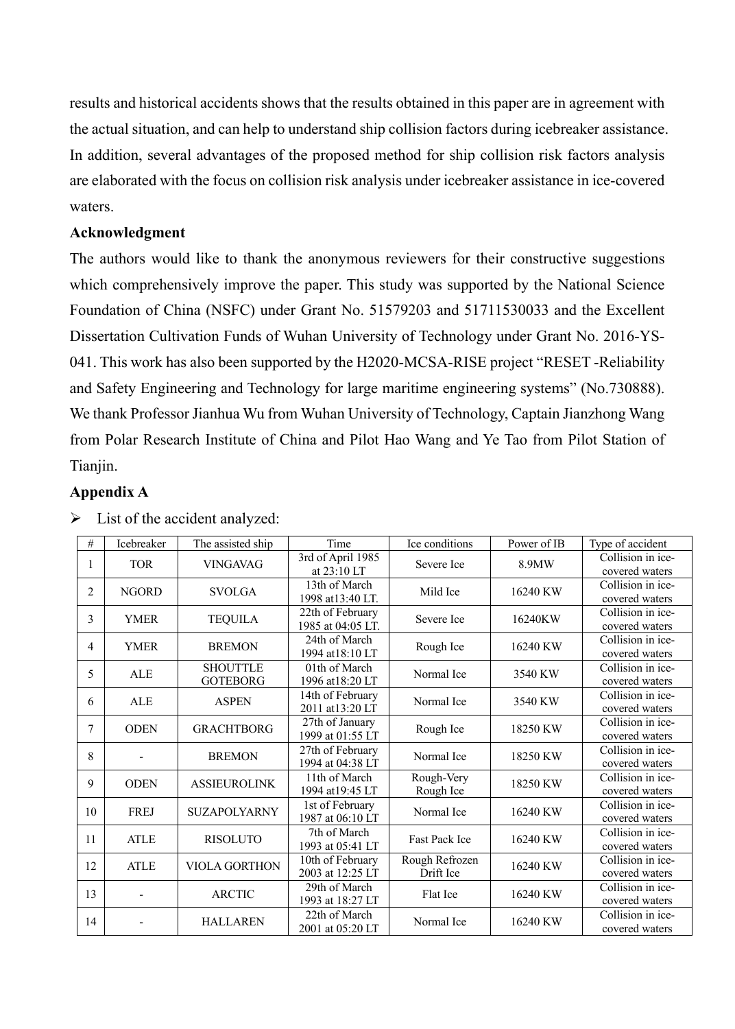results and historical accidents shows that the results obtained in this paper are in agreement with the actual situation, and can help to understand ship collision factors during icebreaker assistance. In addition, several advantages of the proposed method for ship collision risk factors analysis are elaborated with the focus on collision risk analysis under icebreaker assistance in ice-covered waters.

# **Acknowledgment**

The authors would like to thank the anonymous reviewers for their constructive suggestions which comprehensively improve the paper. This study was supported by the National Science Foundation of China (NSFC) under Grant No. 51579203 and 51711530033 and the Excellent Dissertation Cultivation Funds of Wuhan University of Technology under Grant No. 2016-YS-041. This work has also been supported by the H2020-MCSA-RISE project "RESET -Reliability and Safety Engineering and Technology for large maritime engineering systems" (No.730888). We thank Professor Jianhua Wu from Wuhan University of Technology, Captain Jianzhong Wang from Polar Research Institute of China and Pilot Hao Wang and Ye Tao from Pilot Station of Tianjin.

# **Appendix A**

| $\#$           | Icebreaker   | The assisted ship                  | Time                                  | Ice conditions              | Power of IB | Type of accident                    |
|----------------|--------------|------------------------------------|---------------------------------------|-----------------------------|-------------|-------------------------------------|
| 1              | <b>TOR</b>   | <b>VINGAVAG</b>                    | 3rd of April 1985<br>at 23:10 LT      | Severe Ice                  | 8.9MW       | Collision in ice-<br>covered waters |
| $\overline{c}$ | <b>NGORD</b> | <b>SVOLGA</b>                      | 13th of March<br>1998 at 13:40 LT.    | Mild Ice                    | 16240 KW    | Collision in ice-<br>covered waters |
| 3              | <b>YMER</b>  | <b>TEQUILA</b>                     | 22th of February<br>1985 at 04:05 LT. | Severe Ice                  | 16240KW     | Collision in ice-<br>covered waters |
| 4              | <b>YMER</b>  | <b>BREMON</b>                      | 24th of March<br>1994 at 18:10 LT     | Rough Ice                   | 16240 KW    | Collision in ice-<br>covered waters |
| 5              | <b>ALE</b>   | <b>SHOUTTLE</b><br><b>GOTEBORG</b> | 01th of March<br>1996 at 18:20 LT     | Normal Ice                  | 3540 KW     | Collision in ice-<br>covered waters |
| 6              | <b>ALE</b>   | <b>ASPEN</b>                       | 14th of February<br>2011 at 13:20 LT  | Normal Ice                  | 3540 KW     | Collision in ice-<br>covered waters |
| 7              | <b>ODEN</b>  | <b>GRACHTBORG</b>                  | 27th of January<br>1999 at 01:55 LT   | Rough Ice                   | 18250 KW    | Collision in ice-<br>covered waters |
| 8              |              | <b>BREMON</b>                      | 27th of February<br>1994 at 04:38 LT  | Normal Ice                  | 18250 KW    | Collision in ice-<br>covered waters |
| 9              | <b>ODEN</b>  | <b>ASSIEUROLINK</b>                | 11th of March<br>1994 at 19:45 LT     | Rough-Very<br>Rough Ice     | 18250 KW    | Collision in ice-<br>covered waters |
| 10             | <b>FREJ</b>  | <b>SUZAPOLYARNY</b>                | 1st of February<br>1987 at 06:10 LT   | Normal Ice                  | 16240 KW    | Collision in ice-<br>covered waters |
| 11             | <b>ATLE</b>  | <b>RISOLUTO</b>                    | 7th of March<br>1993 at 05:41 LT      | <b>Fast Pack Ice</b>        | 16240 KW    | Collision in ice-<br>covered waters |
| 12             | <b>ATLE</b>  | <b>VIOLA GORTHON</b>               | 10th of February<br>2003 at 12:25 LT  | Rough Refrozen<br>Drift Ice | 16240 KW    | Collision in ice-<br>covered waters |
| 13             |              | <b>ARCTIC</b>                      | 29th of March<br>1993 at 18:27 LT     | Flat Ice                    | 16240 KW    | Collision in ice-<br>covered waters |
| 14             |              | <b>HALLAREN</b>                    | 22th of March<br>2001 at 05:20 LT     | Normal Ice                  | 16240 KW    | Collision in ice-<br>covered waters |

 $\triangleright$  List of the accident analyzed: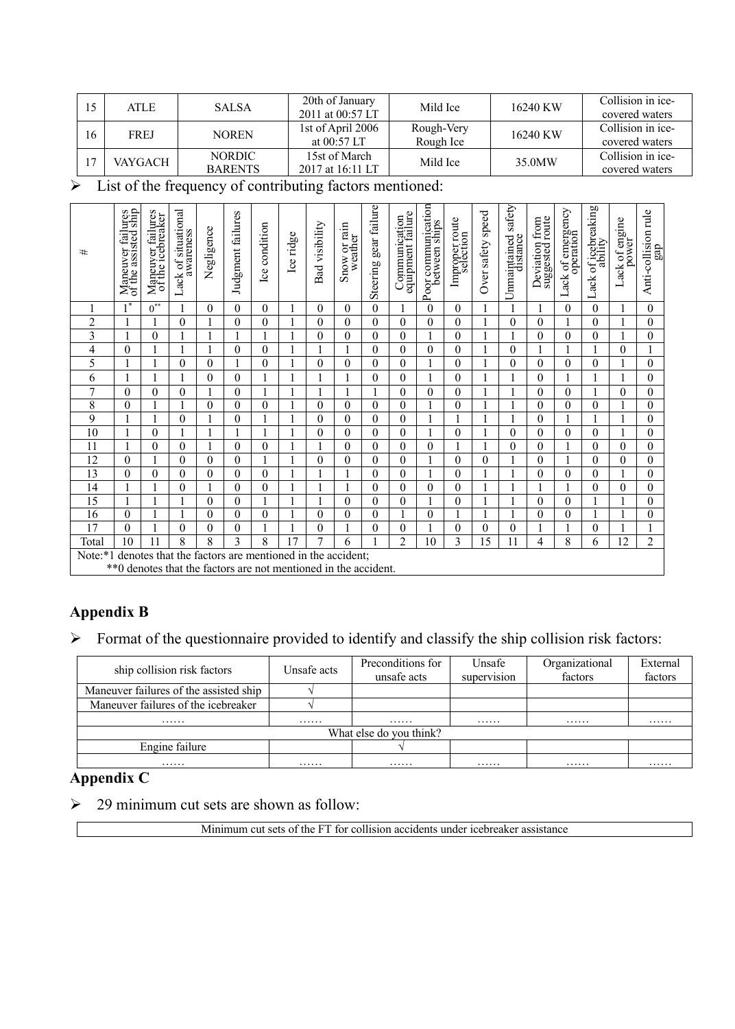| 15           | ATLE        | <b>SALSA</b>                    | 20th of January<br>2011 at 00:57 LT                           | Mild Ice | 16240 KW | Collision in ice-<br>covered waters |
|--------------|-------------|---------------------------------|---------------------------------------------------------------|----------|----------|-------------------------------------|
| 16           | <b>FREJ</b> | <b>NOREN</b>                    | 1st of April 2006<br>Rough-Very<br>Rough Ice<br>at $00:57$ LT |          | 16240 KW | Collision in ice-<br>covered waters |
| $\mathbf{7}$ | VAYGACH     | <b>NORDIC</b><br><b>BARENTS</b> | 15st of March<br>2017 at 16:11 LT                             | Mild Ice | 35.0MW   | Collision in ice-<br>covered waters |

 $\triangleright$  List of the frequency of contributing factors mentioned:

| #              | Maneuver failures<br>of the assisted ship | Maneuver failures<br>of the icebreaker | Lack of situational<br>awareness       | Negligence   | Judgment failures | Ice condition    | Ice ridge      | Bad visibility | Snow or rain<br>weather                                                          | Steering gear failure | Communication<br>equipment failure | Poor communication<br>between ships | Improper route<br>selection | Over safety speed | safety<br>Unnaintained<br>distance | Deviation from<br>suggested route | Lack of emergency<br>operation | Lack of icebreaking<br>ability | Lack of engine<br>power | Anti-collision rule<br>gap |
|----------------|-------------------------------------------|----------------------------------------|----------------------------------------|--------------|-------------------|------------------|----------------|----------------|----------------------------------------------------------------------------------|-----------------------|------------------------------------|-------------------------------------|-----------------------------|-------------------|------------------------------------|-----------------------------------|--------------------------------|--------------------------------|-------------------------|----------------------------|
|                | $1^*$                                     | $0^{\ast\ast}$                         |                                        | $\theta$     | $\theta$          | $\mathbf{0}$     |                | $\theta$       | 0                                                                                | $\mathbf{0}$          |                                    | 0                                   | $\theta$                    |                   |                                    |                                   | $\mathbf{0}$                   | $\mathbf{0}$                   |                         | $\mathbf{0}$               |
| $\overline{2}$ |                                           | 1                                      | $\boldsymbol{0}$                       | $\mathbf{1}$ | $\theta$          | $\boldsymbol{0}$ |                | $\theta$       | $\theta$                                                                         | $\boldsymbol{0}$      | $\theta$                           | 0                                   | $\boldsymbol{0}$            |                   | $\theta$                           | $\theta$                          | 1                              | $\theta$                       |                         | $\boldsymbol{0}$           |
| 3              |                                           | $\overline{0}$                         |                                        |              |                   | 1                |                | $\theta$       | $\theta$                                                                         | $\mathbf{0}$          | $\overline{0}$                     |                                     | $\mathbf{0}$                |                   |                                    | 0                                 | $\mathbf{0}$                   | $\mathbf{0}$                   |                         | $\mathbf{0}$               |
| 4              | $\theta$                                  | 1                                      |                                        |              | 0                 | $\overline{0}$   |                |                | 1                                                                                | $\mathbf{0}$          | $\theta$                           | $\theta$                            | $\theta$                    |                   | $\theta$                           |                                   | 1                              |                                | $\theta$                | 1                          |
| 5              |                                           |                                        | $\mathbf{0}$                           | $\theta$     |                   | $\mathbf{0}$     |                | $\theta$       | 0                                                                                | $\mathbf{0}$          | $\theta$                           |                                     | $\theta$                    |                   | $\theta$                           | $\theta$                          | $\theta$                       | $\theta$                       |                         | $\theta$                   |
| 6              |                                           | 1                                      |                                        | $\mathbf{0}$ | $\overline{0}$    | 1                | $\mathbf{1}$   |                |                                                                                  | $\mathbf{0}$          | $\overline{0}$                     |                                     | $\mathbf{0}$                | 1                 | 1                                  | $\boldsymbol{0}$                  | 1                              | 1                              |                         | $\mathbf{0}$               |
| $\mathcal{I}$  | $\theta$                                  | $\theta$                               | $\mathbf{0}$                           | $\mathbf{1}$ | $\theta$          | 1                |                |                | 1                                                                                | 1                     | $\overline{0}$                     | 0                                   | $\mathbf{0}$                |                   | $\mathbf{1}$                       | $\theta$                          | $\mathbf{0}$                   | 1                              | $\theta$                | $\mathbf{0}$               |
| 8              | $\theta$                                  |                                        |                                        | $\mathbf{0}$ | $\overline{0}$    | $\overline{0}$   |                | $\theta$       | $\theta$                                                                         | $\mathbf{0}$          | $\overline{0}$                     |                                     | $\mathbf{0}$                |                   |                                    | $\theta$                          | $\mathbf{0}$                   | $\mathbf{0}$                   |                         | $\mathbf{0}$               |
| 9              |                                           |                                        | $\mathbf{0}$                           |              | $\theta$          | 1                |                | $\theta$       | $\theta$                                                                         | $\mathbf{0}$          | $\theta$                           |                                     |                             |                   |                                    | $\theta$                          | 1                              |                                |                         | $\mathbf{0}$               |
| 10             |                                           | $\mathbf{0}$                           |                                        |              |                   | 1                |                | $\theta$       | 0                                                                                | $\mathbf{0}$          | $\overline{0}$                     |                                     | $\mathbf{0}$                |                   | $\theta$                           | 0                                 | $\mathbf{0}$                   | $\mathbf{0}$                   |                         | $\mathbf{0}$               |
| 11             |                                           | $\theta$                               | $\mathbf{0}$                           |              | 0                 | $\overline{0}$   |                |                | $\theta$                                                                         | $\mathbf{0}$          | $\mathbf{0}$                       | 0                                   |                             |                   | $\theta$                           | $\theta$                          | 1                              | $\theta$                       | 0                       | $\mathbf{0}$               |
| 12             | $\theta$                                  | 1                                      | $\mathbf{0}$                           | $\theta$     | $\theta$          | $\mathbf{1}$     |                | $\Omega$       | $\theta$                                                                         | $\mathbf{0}$          | $\theta$                           |                                     | $\theta$                    | $\overline{0}$    |                                    | $\theta$                          | 1                              | $\theta$                       | $\theta$                | $\mathbf{0}$               |
| 13             | $\theta$                                  | $\theta$                               | $\mathbf{0}$                           | $\theta$     | $\theta$          | $\theta$         |                |                | 1                                                                                | $\theta$              | $\theta$                           |                                     | $\theta$                    |                   |                                    | 0                                 | $\theta$                       | $\theta$                       |                         | $\theta$                   |
| 14             |                                           |                                        | $\mathbf{0}$                           |              | 0                 | $\overline{0}$   |                |                |                                                                                  | $\mathbf{0}$          | $\overline{0}$                     | 0                                   | $\mathbf{0}$                |                   |                                    |                                   | 1                              | $\mathbf{0}$                   | $\overline{0}$          | $\mathbf{0}$               |
| 15             | 1                                         |                                        |                                        | $\theta$     | $\theta$          | 1                |                |                | $\theta$                                                                         | $\mathbf{0}$          | $\theta$                           |                                     | $\theta$                    |                   |                                    | $\theta$                          | $\mathbf{0}$                   |                                |                         | $\mathbf{0}$               |
| 16             | $\theta$                                  | 1                                      |                                        | $\theta$     | 0                 | $\overline{0}$   |                | $\theta$       | $\theta$                                                                         | $\mathbf{0}$          |                                    | $\theta$                            |                             |                   |                                    | $\theta$                          | $\mathbf{0}$                   | 1                              |                         | $\mathbf{0}$               |
| 17             | $\theta$                                  |                                        | $\mathbf{0}$                           | $\theta$     | 0                 |                  |                | 0              |                                                                                  | $\mathbf{0}$          | $\overline{0}$                     |                                     | $\mathbf{0}$                | $\overline{0}$    | 0                                  |                                   |                                | $\overline{0}$                 |                         |                            |
| Total          | 10                                        | 11                                     | 8                                      | 8            | 3                 | 8                | $\overline{7}$ | 7              | 6                                                                                | $\mathbf{1}$          | $\overline{2}$                     | 10                                  | 3                           | 15                | 11                                 | 4                                 | 8                              | 6                              | 12                      | $\overline{c}$             |
| Note:*1        |                                           |                                        | denotes that the factors are mentioned |              |                   |                  | in             |                | the accident:<br>**0 denotes that the factors are not mentioned in the accident. |                       |                                    |                                     |                             |                   |                                    |                                   |                                |                                |                         |                            |

# **Appendix B**

 $\triangleright$  Format of the questionnaire provided to identify and classify the ship collision risk factors:

| ship collision risk factors            | Unsafe acts | Preconditions for<br>unsafe acts | Unsafe<br>supervision | Organizational<br>factors | External<br>factors |
|----------------------------------------|-------------|----------------------------------|-----------------------|---------------------------|---------------------|
| Maneuver failures of the assisted ship |             |                                  |                       |                           |                     |
| Maneuver failures of the icebreaker    |             |                                  |                       |                           |                     |
| .                                      | .           | .                                | .                     | .                         | .                   |
|                                        |             | What else do you think?          |                       |                           |                     |
| Engine failure                         |             |                                  |                       |                           |                     |
| .                                      | .           | .                                | .                     | .                         | .                   |

# **Appendix C**

 $\geq$  29 minimum cut sets are shown as follow:

Minimum cut sets of the FT for collision accidents under icebreaker assistance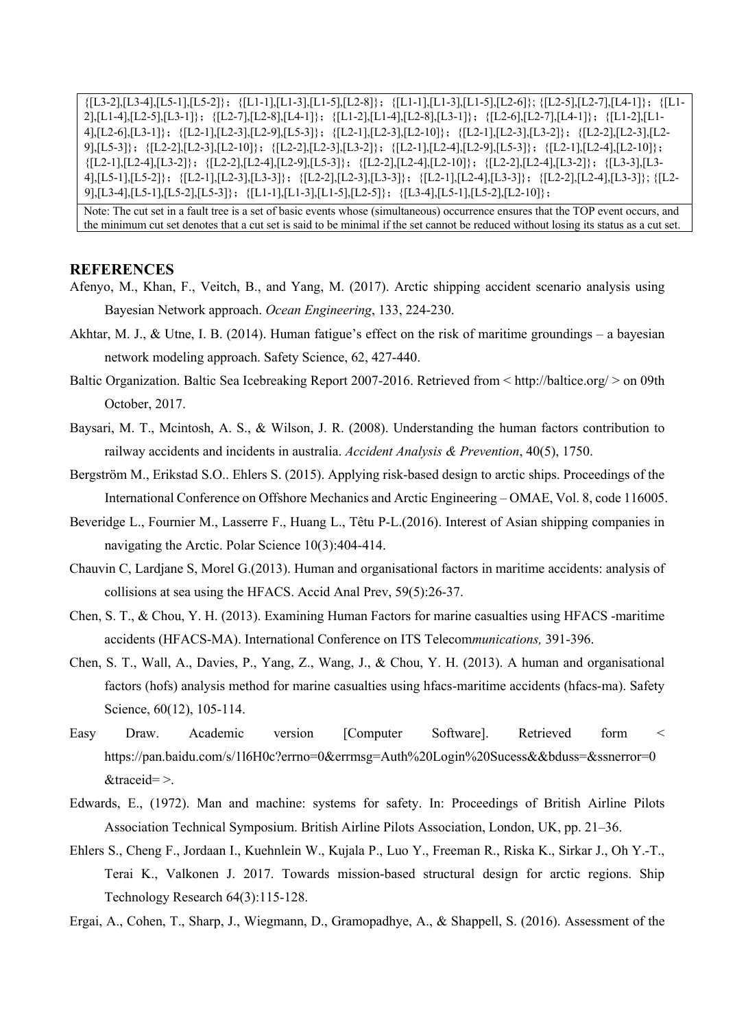${[L3-2],[L3-4],[L5-1],[L5-2]};$   ${[L1-1],[L1-3],[L1-5],[L2-8]};$   ${[L1-1],[L1-3],[L1-5],[L2-6]};$   ${[L2-5],[L2-7],[L4-1]};$ 2],[L1-4],[L2-5],[L3-1]};{[L2-7],[L2-8],[L4-1]};{[L1-2],[L1-4],[L2-8],[L3-1]};{[L2-6],[L2-7],[L4-1]};{[L1-2],[L1- 4],[L2-6],[L3-1]};{[L2-1],[L2-3],[L2-9],[L5-3]};{[L2-1],[L2-3],[L2-10]};{[L2-1],[L2-3],[L3-2]};{[L2-2],[L2-3],[L2- 9],[L5-3]};{[L2-2],[L2-3],[L2-10]};{[L2-2],[L2-3],[L3-2]};{[L2-1],[L2-4],[L2-9],[L5-3]};{[L2-1],[L2-4],[L2-10]};  ${[L2-1],[L2-4],[L3-2]};$   ${[L2-2],[L2-4],[L2-9],[L5-3]};$   ${[L2-2],[L2-4],[L2-10]};$   ${[L2-2],[L2-4],[L3-2]};$   ${[L3-3],[L3-2]};$ 4],[L5-1],[L5-2]};{[L2-1],[L2-3],[L3-3]};{[L2-2],[L2-3],[L3-3]};{[L2-1],[L2-4],[L3-3]};{[L2-2],[L2-4],[L3-3]}; {[L2- 9],[L3-4],[L5-1],[L5-2],[L5-3]};{[L1-1],[L1-3],[L1-5],[L2-5]};{[L3-4],[L5-1],[L5-2],[L2-10]};

Note: The cut set in a fault tree is a set of basic events whose (simultaneous) occurrence ensures that the TOP event occurs, and the minimum cut set denotes that a cut set is said to be minimal if the set cannot be reduced without losing its status as a cut set.

#### **REFERENCES**

- Afenyo, M., Khan, F., Veitch, B., and Yang, M. (2017). Arctic shipping accident scenario analysis using Bayesian Network approach. *Ocean Engineering*, 133, 224-230.
- Akhtar, M. J., & Utne, I. B. (2014). Human fatigue's effect on the risk of maritime groundings a bayesian network modeling approach. Safety Science, 62, 427-440.
- Baltic Organization. Baltic Sea Icebreaking Report 2007-2016. Retrieved from < http://baltice.org/ > on 09th October, 2017.
- Baysari, M. T., Mcintosh, A. S., & Wilson, J. R. (2008). Understanding the human factors contribution to railway accidents and incidents in australia. *Accident Analysis & Prevention*, 40(5), 1750.
- Bergström M., Erikstad S.O.. Ehlers S. (2015). Applying risk-based design to arctic ships. Proceedings of the International Conference on Offshore Mechanics and Arctic Engineering – OMAE, Vol. 8, code 116005.
- Beveridge L., Fournier M., Lasserre F., Huang L., Têtu P-L.(2016). Interest of Asian shipping companies in navigating the Arctic. Polar Science 10(3):404-414.
- Chauvin C, Lardjane S, Morel G.(2013). Human and organisational factors in maritime accidents: analysis of collisions at sea using the HFACS. Accid Anal Prev, 59(5):26-37.
- Chen, S. T., & Chou, Y. H. (2013). Examining Human Factors for marine casualties using HFACS -maritime accidents (HFACS-MA). International Conference on ITS Telecom*munications,* 391-396.
- Chen, S. T., Wall, A., Davies, P., Yang, Z., Wang, J., & Chou, Y. H. (2013). A human and organisational factors (hofs) analysis method for marine casualties using hfacs-maritime accidents (hfacs-ma). Safety Science,  $60(12)$ , 105-114.
- Easy Draw. Academic version [Computer Software]. Retrieved form < https://pan.baidu.com/s/1l6H0c?errno=0&errmsg=Auth%20Login%20Sucess&&bduss=&ssnerror=0 &traceid= >.
- Edwards, E., (1972). Man and machine: systems for safety. In: Proceedings of British Airline Pilots Association Technical Symposium. British Airline Pilots Association, London, UK, pp. 21–36.
- Ehlers S., Cheng F., Jordaan I., Kuehnlein W., Kujala P., Luo Y., Freeman R., Riska K., Sirkar J., Oh Y.-T., Terai K., Valkonen J. 2017. Towards mission-based structural design for arctic regions. Ship Technology Research 64(3):115-128.

Ergai, A., Cohen, T., Sharp, J., Wiegmann, D., Gramopadhye, A., & Shappell, S. (2016). Assessment of the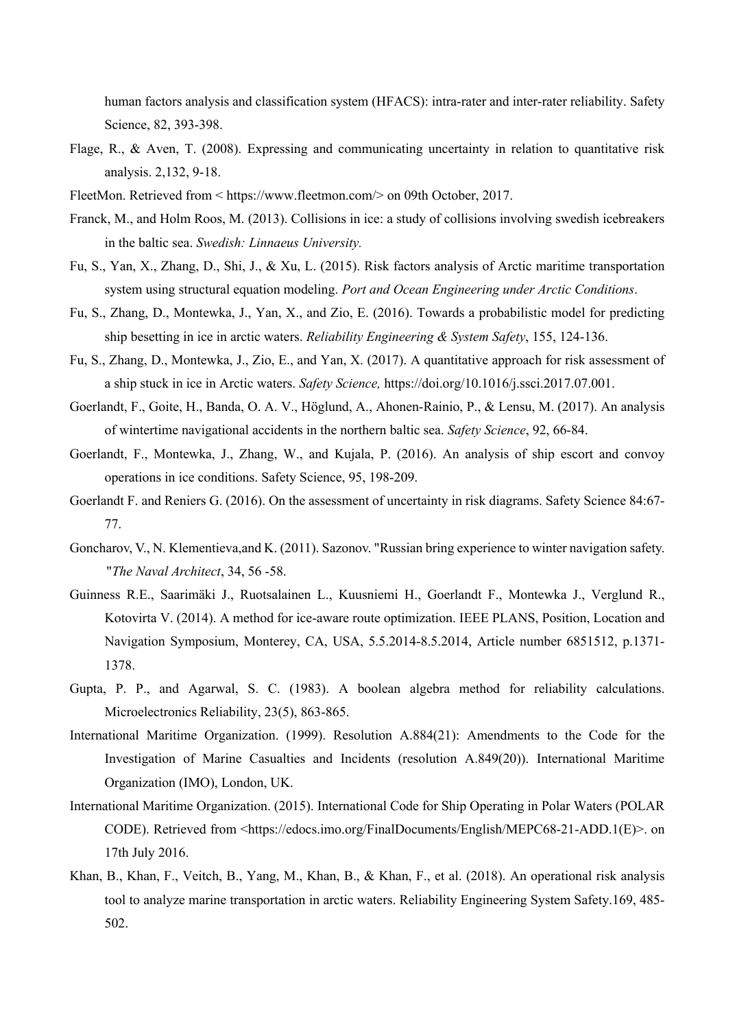human factors analysis and classification system (HFACS): intra-rater and inter-rater reliability. Safety Science, 82, 393-398.

- Flage, R., & Aven, T. (2008). Expressing and communicating uncertainty in relation to quantitative risk analysis. 2,132, 9-18.
- FleetMon. Retrieved from < https://www.fleetmon.com/> on 09th October, 2017.
- Franck, M., and Holm Roos, M. (2013). Collisions in ice: a study of collisions involving swedish icebreakers in the baltic sea. *Swedish: Linnaeus University.*
- Fu, S., Yan, X., Zhang, D., Shi, J., & Xu, L. (2015). Risk factors analysis of Arctic maritime transportation system using structural equation modeling. *Port and Ocean Engineering under Arctic Conditions*.
- Fu, S., Zhang, D., Montewka, J., Yan, X., and Zio, E. (2016). Towards a probabilistic model for predicting ship besetting in ice in arctic waters. *Reliability Engineering & System Safety*, 155, 124-136.
- Fu, S., Zhang, D., Montewka, J., Zio, E., and Yan, X. (2017). A quantitative approach for risk assessment of a ship stuck in ice in Arctic waters. *Safety Science,* https://doi.org/10.1016/j.ssci.2017.07.001.
- Goerlandt, F., Goite, H., Banda, O. A. V., Höglund, A., Ahonen-Rainio, P., & Lensu, M. (2017). An analysis of wintertime navigational accidents in the northern baltic sea. *Safety Science*, 92, 66-84.
- Goerlandt, F., Montewka, J., Zhang, W., and Kujala, P. (2016). An analysis of ship escort and convoy operations in ice conditions. Safety Science, 95, 198-209.
- Goerlandt F. and Reniers G. (2016). On the assessment of uncertainty in risk diagrams. Safety Science 84:67- 77.
- Goncharov, V., N. Klementieva,and K. (2011). Sazonov. "Russian bring experience to winter navigation safety. "*The Naval Architect*, 34, 56 -58.
- Guinness R.E., Saarimäki J., Ruotsalainen L., Kuusniemi H., Goerlandt F., Montewka J., Verglund R., Kotovirta V. (2014). A method for ice-aware route optimization. IEEE PLANS, Position, Location and Navigation Symposium, Monterey, CA, USA, 5.5.2014-8.5.2014, Article number 6851512, p.1371- 1378.
- Gupta, P. P., and Agarwal, S. C. (1983). A boolean algebra method for reliability calculations. Microelectronics Reliability, 23(5), 863-865.
- International Maritime Organization. (1999). Resolution A.884(21): Amendments to the Code for the Investigation of Marine Casualties and Incidents (resolution A.849(20)). International Maritime Organization (IMO), London, UK.
- International Maritime Organization. (2015). International Code for Ship Operating in Polar Waters (POLAR CODE). Retrieved from <https://edocs.imo.org/FinalDocuments/English/MEPC68-21-ADD.1(E)>. on 17th July 2016.
- Khan, B., Khan, F., Veitch, B., Yang, M., Khan, B., & Khan, F., et al. (2018). An operational risk analysis tool to analyze marine transportation in arctic waters. Reliability Engineering System Safety.169, 485- 502.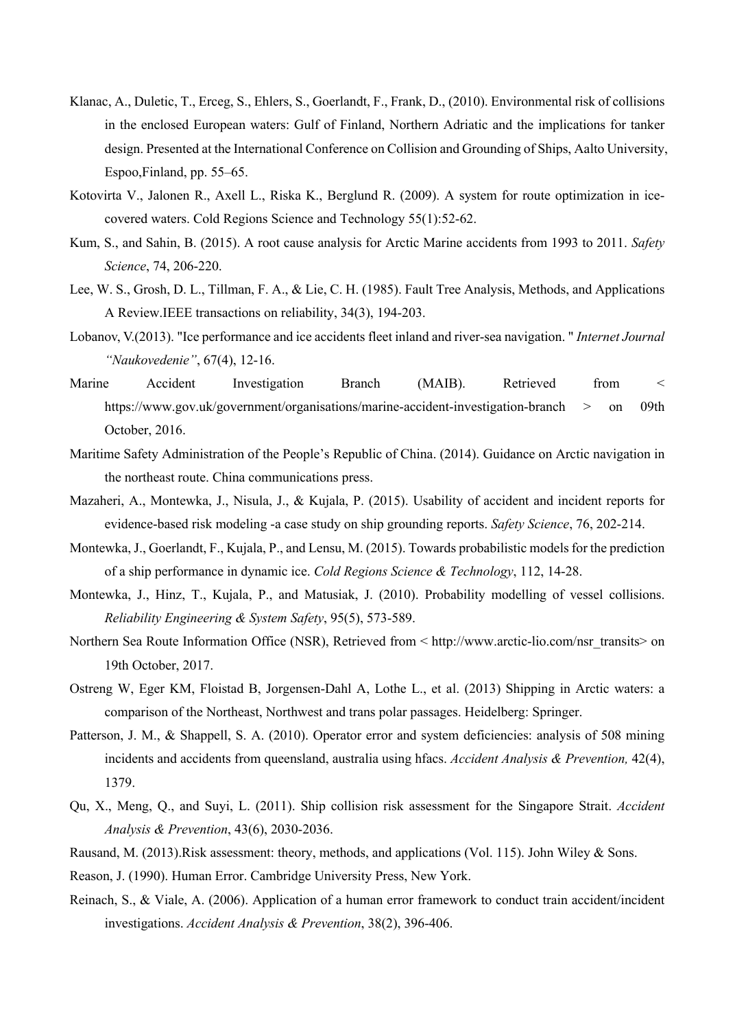- Klanac, A., Duletic, T., Erceg, S., Ehlers, S., Goerlandt, F., Frank, D., (2010). Environmental risk of collisions in the enclosed European waters: Gulf of Finland, Northern Adriatic and the implications for tanker design. Presented at the International Conference on Collision and Grounding of Ships, Aalto University, Espoo,Finland, pp. 55–65.
- Kotovirta V., Jalonen R., Axell L., Riska K., Berglund R. (2009). A system for route optimization in icecovered waters. Cold Regions Science and Technology 55(1):52-62.
- Kum, S., and Sahin, B. (2015). A root cause analysis for Arctic Marine accidents from 1993 to 2011. *Safety Science*, 74, 206-220.
- Lee, W. S., Grosh, D. L., Tillman, F. A., & Lie, C. H. (1985). Fault Tree Analysis, Methods, and Applications A Review.IEEE transactions on reliability, 34(3), 194-203.
- Lobanov, V.(2013). "Ice performance and ice accidents fleet inland and river-sea navigation. " *Internet Journal "Naukovedenie"*, 67(4), 12-16.
- Marine Accident Investigation Branch (MAIB). Retrieved from < https://www.gov.uk/government/organisations/marine-accident-investigation-branch > on 09th October, 2016.
- Maritime Safety Administration of the People's Republic of China. (2014). Guidance on Arctic navigation in the northeast route. China communications press.
- Mazaheri, A., Montewka, J., Nisula, J., & Kujala, P. (2015). Usability of accident and incident reports for evidence-based risk modeling -a case study on ship grounding reports. *Safety Science*, 76, 202-214.
- Montewka, J., Goerlandt, F., Kujala, P., and Lensu, M. (2015). Towards probabilistic models for the prediction of a ship performance in dynamic ice. *Cold Regions Science & Technology*, 112, 14-28.
- Montewka, J., Hinz, T., Kujala, P., and Matusiak, J. (2010). Probability modelling of vessel collisions. *Reliability Engineering & System Safety*, 95(5), 573-589.
- Northern Sea Route Information Office (NSR), Retrieved from < http://www.arctic-lio.com/nsr\_transits> on 19th October, 2017.
- Ostreng W, Eger KM, Floistad B, Jorgensen-Dahl A, Lothe L., et al. (2013) Shipping in Arctic waters: a comparison of the Northeast, Northwest and trans polar passages. Heidelberg: Springer.
- Patterson, J. M., & Shappell, S. A. (2010). Operator error and system deficiencies: analysis of 508 mining incidents and accidents from queensland, australia using hfacs. *Accident Analysis & Prevention,* 42(4), 1379.
- Qu, X., Meng, Q., and Suyi, L. (2011). Ship collision risk assessment for the Singapore Strait. *Accident Analysis & Prevention*, 43(6), 2030-2036.
- Rausand, M. (2013).Risk assessment: theory, methods, and applications (Vol. 115). John Wiley & Sons.
- Reason, J. (1990). Human Error. Cambridge University Press, New York.
- Reinach, S., & Viale, A. (2006). Application of a human error framework to conduct train accident/incident investigations. *Accident Analysis & Prevention*, 38(2), 396-406.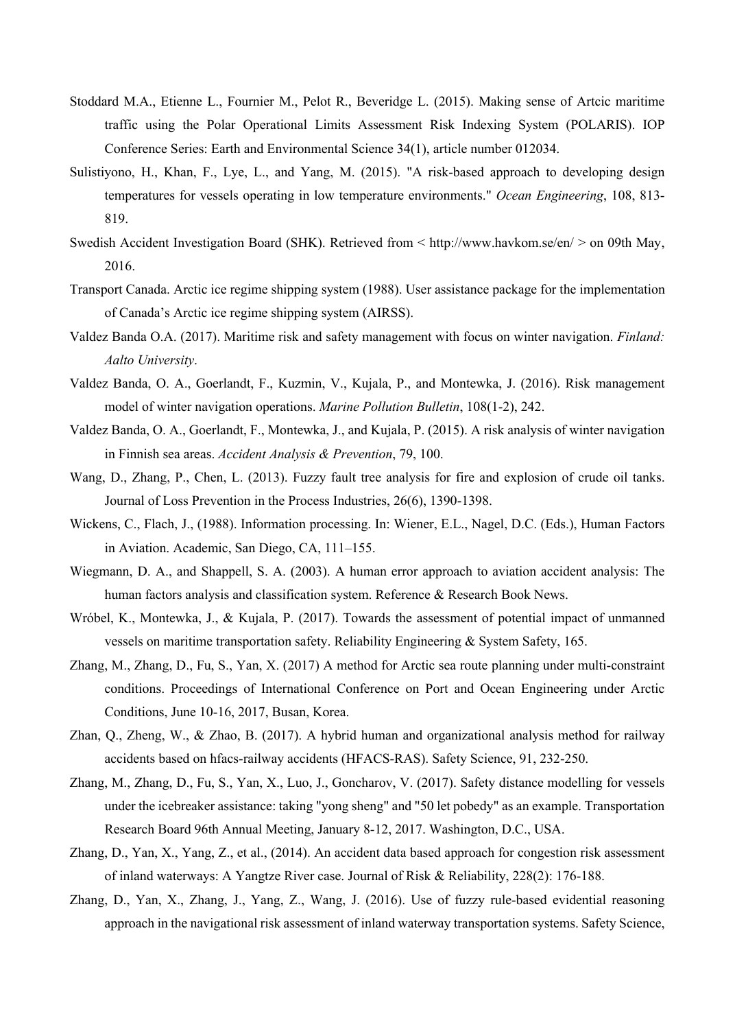- Stoddard M.A., Etienne L., Fournier M., Pelot R., Beveridge L. (2015). Making sense of Artcic maritime traffic using the Polar Operational Limits Assessment Risk Indexing System (POLARIS). IOP Conference Series: Earth and Environmental Science 34(1), article number 012034.
- Sulistiyono, H., Khan, F., Lye, L., and Yang, M. (2015). "A risk-based approach to developing design temperatures for vessels operating in low temperature environments." *Ocean Engineering*, 108, 813- 819.
- Swedish Accident Investigation Board (SHK). Retrieved from < http://www.havkom.se/en/ > on 09th May, 2016.
- Transport Canada. Arctic ice regime shipping system (1988). User assistance package for the implementation of Canada's Arctic ice regime shipping system (AIRSS).
- Valdez Banda O.A. (2017). Maritime risk and safety management with focus on winter navigation. *Finland: Aalto University*.
- Valdez Banda, O. A., Goerlandt, F., Kuzmin, V., Kujala, P., and Montewka, J. (2016). Risk management model of winter navigation operations. *Marine Pollution Bulletin*, 108(1-2), 242.
- Valdez Banda, O. A., Goerlandt, F., Montewka, J., and Kujala, P. (2015). A risk analysis of winter navigation in Finnish sea areas. *Accident Analysis & Prevention*, 79, 100.
- Wang, D., Zhang, P., Chen, L. (2013). Fuzzy fault tree analysis for fire and explosion of crude oil tanks. Journal of Loss Prevention in the Process Industries, 26(6), 1390-1398.
- Wickens, C., Flach, J., (1988). Information processing. In: Wiener, E.L., Nagel, D.C. (Eds.), Human Factors in Aviation. Academic, San Diego, CA, 111–155.
- Wiegmann, D. A., and Shappell, S. A. (2003). A human error approach to aviation accident analysis: The human factors analysis and classification system. Reference & Research Book News.
- Wróbel, K., Montewka, J., & Kujala, P. (2017). Towards the assessment of potential impact of unmanned vessels on maritime transportation safety. Reliability Engineering & System Safety, 165.
- Zhang, M., Zhang, D., Fu, S., Yan, X. (2017) A method for Arctic sea route planning under multi-constraint conditions. Proceedings of International Conference on Port and Ocean Engineering under Arctic Conditions, June 10-16, 2017, Busan, Korea.
- Zhan, Q., Zheng, W., & Zhao, B. (2017). A hybrid human and organizational analysis method for railway accidents based on hfacs-railway accidents (HFACS-RAS). Safety Science, 91, 232-250.
- Zhang, M., Zhang, D., Fu, S., Yan, X., Luo, J., Goncharov, V. (2017). Safety distance modelling for vessels under the icebreaker assistance: taking "yong sheng" and "50 let pobedy" as an example. Transportation Research Board 96th Annual Meeting, January 8-12, 2017. Washington, D.C., USA.
- Zhang, D., Yan, X., Yang, Z., et al., (2014). An accident data based approach for congestion risk assessment of inland waterways: A Yangtze River case. Journal of Risk & Reliability, 228(2): 176-188.
- Zhang, D., Yan, X., Zhang, J., Yang, Z., Wang, J. (2016). Use of fuzzy rule-based evidential reasoning approach in the navigational risk assessment of inland waterway transportation systems. Safety Science,